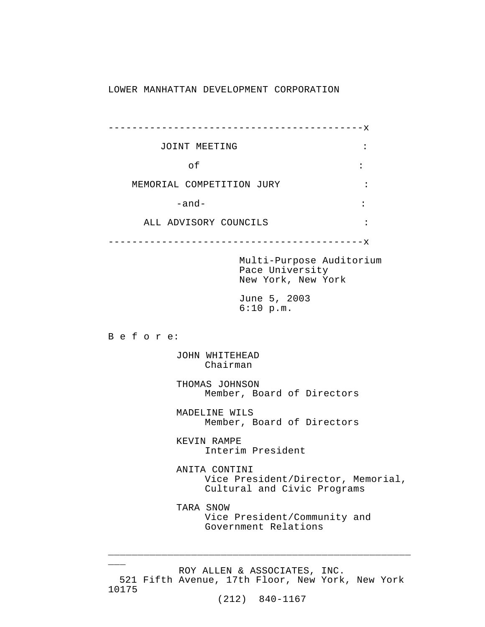## LOWER MANHATTAN DEVELOPMENT CORPORATION

\_\_\_\_\_\_\_\_\_\_\_\_\_\_\_\_\_\_\_\_\_\_\_\_\_\_\_\_\_\_\_\_\_\_\_\_\_\_\_\_\_\_\_\_\_\_\_\_\_\_\_ -------------------------------------------x JOINT MEETING : of : MEMORIAL COMPETITION JURY :  $-$ and $-$ ALL ADVISORY COUNCILS :  $\qquad \qquad :$ -------------------------------------------x Multi-Purpose Auditorium Pace University New York, New York June 5, 2003 6:10 p.m. B e f o r e: JOHN WHITEHEAD Chairman THOMAS JOHNSON Member, Board of Directors MADELINE WILS Member, Board of Directors KEVIN RAMPE Interim President ANITA CONTINI Vice President/Director, Memorial, Cultural and Civic Programs TARA SNOW Vice President/Community and Government Relations

ROY ALLEN & ASSOCIATES, INC. 521 Fifth Avenue, 17th Floor, New York, New York 10175

 $\overline{\phantom{a}}$ 

(212) 840-1167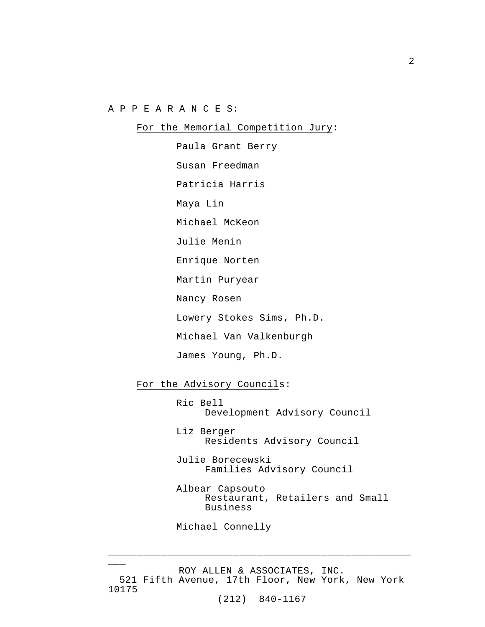For the Memorial Competition Jury:

Paula Grant Berry Susan Freedman Patricia Harris Maya Lin Michael McKeon Julie Menin Enrique Norten Martin Puryear Nancy Rosen Lowery Stokes Sims, Ph.D. Michael Van Valkenburgh James Young, Ph.D.

For the Advisory Councils:

- Ric Bell Development Advisory Council Liz Berger
	- Residents Advisory Council

Julie Borecewski Families Advisory Council

Albear Capsouto Restaurant, Retailers and Small Business

Michael Connelly

 $\overline{\phantom{a}}$ 

ROY ALLEN & ASSOCIATES, INC. 521 Fifth Avenue, 17th Floor, New York, New York 10175 (212) 840-1167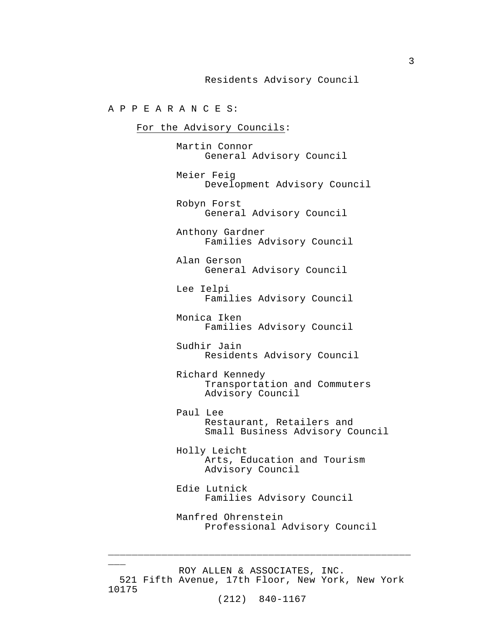Residents Advisory Council

A P P E A R A N C E S:

For the Advisory Councils: Martin Connor General Advisory Council Meier Feig Development Advisory Council Robyn Forst General Advisory Council Anthony Gardner Families Advisory Council Alan Gerson General Advisory Council Lee Ielpi Families Advisory Council Monica Iken Families Advisory Council Sudhir Jain Residents Advisory Council Richard Kennedy Transportation and Commuters Advisory Council Paul Lee Restaurant, Retailers and Small Business Advisory Council Holly Leicht Arts, Education and Tourism Advisory Council Edie Lutnick Families Advisory Council Manfred Ohrenstein Professional Advisory Council

ROY ALLEN & ASSOCIATES, INC. 521 Fifth Avenue, 17th Floor, New York, New York 10175

 $\overline{\phantom{a}}$ 

\_\_\_\_\_\_\_\_\_\_\_\_\_\_\_\_\_\_\_\_\_\_\_\_\_\_\_\_\_\_\_\_\_\_\_\_\_\_\_\_\_\_\_\_\_\_\_\_\_\_\_

(212) 840-1167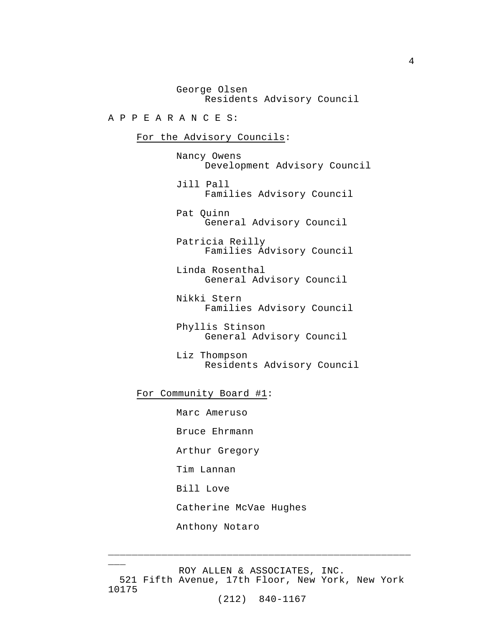George Olsen Residents Advisory Council

A P P E A R A N C E S:

For the Advisory Councils:

Nancy Owens Development Advisory Council

Jill Pall Families Advisory Council

Pat Quinn General Advisory Council

Patricia Reilly Families Advisory Council

Linda Rosenthal General Advisory Council

Nikki Stern Families Advisory Council

Phyllis Stinson General Advisory Council

Liz Thompson Residents Advisory Council

For Community Board #1:

Marc Ameruso

Bruce Ehrmann

Arthur Gregory

Tim Lannan

Bill Love

 $\overline{\phantom{a}}$ 

Catherine McVae Hughes

Anthony Notaro

ROY ALLEN & ASSOCIATES, INC. 521 Fifth Avenue, 17th Floor, New York, New York 10175

\_\_\_\_\_\_\_\_\_\_\_\_\_\_\_\_\_\_\_\_\_\_\_\_\_\_\_\_\_\_\_\_\_\_\_\_\_\_\_\_\_\_\_\_\_\_\_\_\_\_\_

(212) 840-1167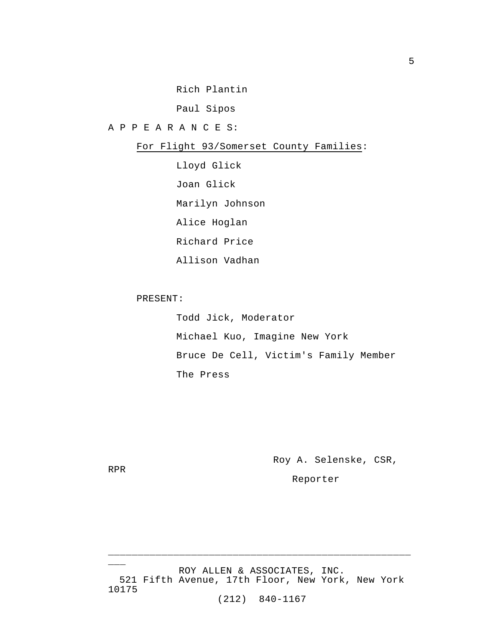Rich Plantin

Paul Sipos

A P P E A R A N C E S:

For Flight 93/Somerset County Families:

Lloyd Glick Joan Glick Marilyn Johnson Alice Hoglan Richard Price Allison Vadhan

PRESENT:

Todd Jick, Moderator Michael Kuo, Imagine New York Bruce De Cell, Victim's Family Member The Press

Roy A. Selenske, CSR,

Reporter

 $\overline{\phantom{a}}$ ROY ALLEN & ASSOCIATES, INC. 521 Fifth Avenue, 17th Floor, New York, New York 10175

\_\_\_\_\_\_\_\_\_\_\_\_\_\_\_\_\_\_\_\_\_\_\_\_\_\_\_\_\_\_\_\_\_\_\_\_\_\_\_\_\_\_\_\_\_\_\_\_\_\_\_

(212) 840-1167

RPR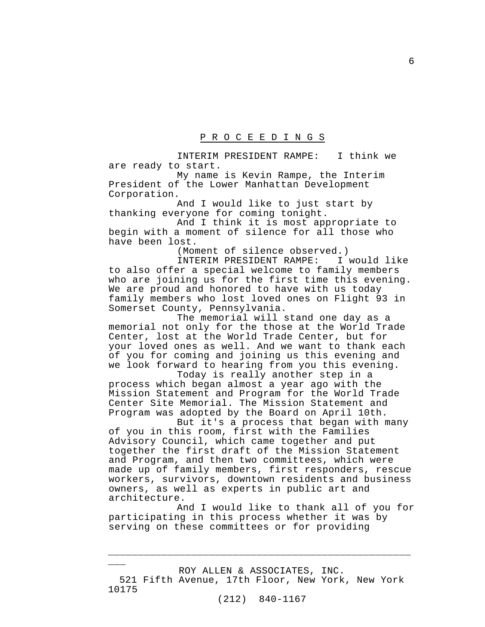## P R O C E E D I N G S

INTERIM PRESIDENT RAMPE: I think we are ready to start.

My name is Kevin Rampe, the Interim President of the Lower Manhattan Development Corporation.

And I would like to just start by thanking everyone for coming tonight.

And I think it is most appropriate to begin with a moment of silence for all those who have been lost.

(Moment of silence observed.)

INTERIM PRESIDENT RAMPE: I would like to also offer a special welcome to family members who are joining us for the first time this evening. We are proud and honored to have with us today family members who lost loved ones on Flight 93 in Somerset County, Pennsylvania.

The memorial will stand one day as a memorial not only for the those at the World Trade Center, lost at the World Trade Center, but for your loved ones as well. And we want to thank each of you for coming and joining us this evening and we look forward to hearing from you this evening.

Today is really another step in a process which began almost a year ago with the Mission Statement and Program for the World Trade Center Site Memorial. The Mission Statement and Program was adopted by the Board on April 10th.

But it's a process that began with many of you in this room, first with the Families Advisory Council, which came together and put together the first draft of the Mission Statement and Program, and then two committees, which were made up of family members, first responders, rescue workers, survivors, downtown residents and business owners, as well as experts in public art and architecture.

And I would like to thank all of you for participating in this process whether it was by serving on these committees or for providing

ROY ALLEN & ASSOCIATES, INC.

 $\overline{\phantom{a}}$ 

\_\_\_\_\_\_\_\_\_\_\_\_\_\_\_\_\_\_\_\_\_\_\_\_\_\_\_\_\_\_\_\_\_\_\_\_\_\_\_\_\_\_\_\_\_\_\_\_\_\_\_

(212) 840-1167

<sup>521</sup> Fifth Avenue, 17th Floor, New York, New York 10175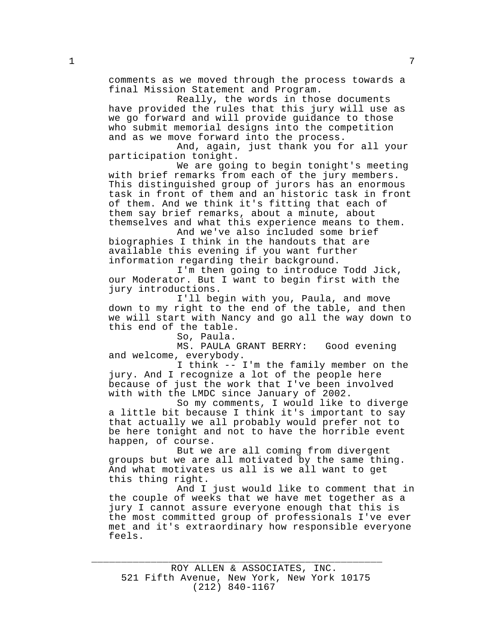comments as we moved through the process towards a final Mission Statement and Program.

Really, the words in those documents have provided the rules that this jury will use as we go forward and will provide guidance to those who submit memorial designs into the competition and as we move forward into the process.

And, again, just thank you for all your participation tonight.

We are going to begin tonight's meeting with brief remarks from each of the jury members. This distinguished group of jurors has an enormous task in front of them and an historic task in front of them. And we think it's fitting that each of them say brief remarks, about a minute, about themselves and what this experience means to them.

And we've also included some brief biographies I think in the handouts that are available this evening if you want further information regarding their background.

I'm then going to introduce Todd Jick, our Moderator. But I want to begin first with the jury introductions.

I'll begin with you, Paula, and move down to my right to the end of the table, and then we will start with Nancy and go all the way down to this end of the table.

So, Paula.

MS. PAULA GRANT BERRY: Good evening and welcome, everybody.

I think -- I'm the family member on the jury. And I recognize a lot of the people here because of just the work that I've been involved with with the LMDC since January of 2002.

So my comments, I would like to diverge a little bit because I think it's important to say that actually we all probably would prefer not to be here tonight and not to have the horrible event happen, of course.

But we are all coming from divergent groups but we are all motivated by the same thing. And what motivates us all is we all want to get this thing right.

And I just would like to comment that in the couple of weeks that we have met together as a jury I cannot assure everyone enough that this is the most committed group of professionals I've ever met and it's extraordinary how responsible everyone feels.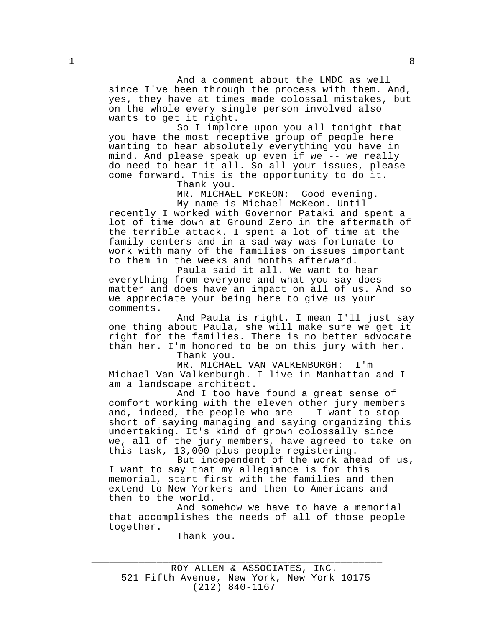And a comment about the LMDC as well since I've been through the process with them. And, yes, they have at times made colossal mistakes, but on the whole every single person involved also wants to get it right.

So I implore upon you all tonight that you have the most receptive group of people here wanting to hear absolutely everything you have in mind. And please speak up even if we -- we really do need to hear it all. So all your issues, please come forward. This is the opportunity to do it.

Thank you.

MR. MICHAEL McKEON: Good evening. My name is Michael McKeon. Until

recently I worked with Governor Pataki and spent a lot of time down at Ground Zero in the aftermath of the terrible attack. I spent a lot of time at the family centers and in a sad way was fortunate to work with many of the families on issues important to them in the weeks and months afterward.

Paula said it all. We want to hear everything from everyone and what you say does matter and does have an impact on all of us. And so we appreciate your being here to give us your comments.

And Paula is right. I mean I'll just say one thing about Paula, she will make sure we get it right for the families. There is no better advocate than her. I'm honored to be on this jury with her.

Thank you.

MR. MICHAEL VAN VALKENBURGH: I'm Michael Van Valkenburgh. I live in Manhattan and I am a landscape architect.

And I too have found a great sense of comfort working with the eleven other jury members and, indeed, the people who are -- I want to stop short of saying managing and saying organizing this undertaking. It's kind of grown colossally since we, all of the jury members, have agreed to take on this task, 13,000 plus people registering.

But independent of the work ahead of us, I want to say that my allegiance is for this memorial, start first with the families and then extend to New Yorkers and then to Americans and then to the world.

And somehow we have to have a memorial that accomplishes the needs of all of those people together.

Thank you.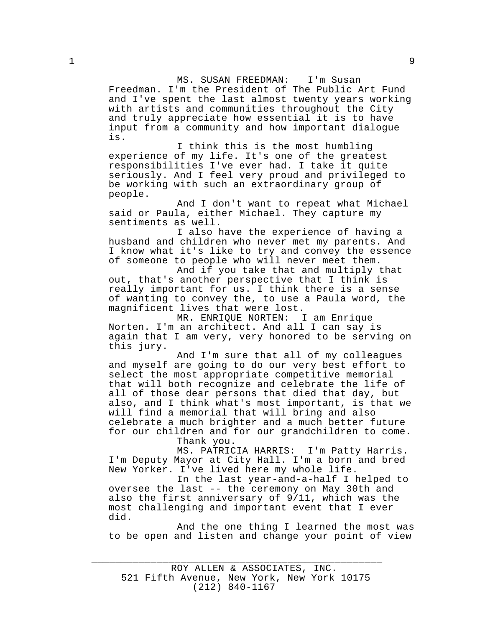MS. SUSAN FREEDMAN: I'm Susan

Freedman. I'm the President of The Public Art Fund and I've spent the last almost twenty years working with artists and communities throughout the City and truly appreciate how essential it is to have input from a community and how important dialogue is.

I think this is the most humbling experience of my life. It's one of the greatest responsibilities I've ever had. I take it quite seriously. And I feel very proud and privileged to be working with such an extraordinary group of people.

And I don't want to repeat what Michael said or Paula, either Michael. They capture my sentiments as well.

I also have the experience of having a husband and children who never met my parents. And I know what it's like to try and convey the essence of someone to people who will never meet them.

And if you take that and multiply that out, that's another perspective that I think is really important for us. I think there is a sense of wanting to convey the, to use a Paula word, the magnificent lives that were lost.

MR. ENRIQUE NORTEN: I am Enrique Norten. I'm an architect. And all I can say is again that I am very, very honored to be serving on this jury.

And I'm sure that all of my colleagues and myself are going to do our very best effort to select the most appropriate competitive memorial that will both recognize and celebrate the life of all of those dear persons that died that day, but also, and I think what's most important, is that we will find a memorial that will bring and also celebrate a much brighter and a much better future for our children and for our grandchildren to come.

Thank you.

MS. PATRICIA HARRIS: I'm Patty Harris. I'm Deputy Mayor at City Hall. I'm a born and bred New Yorker. I've lived here my whole life.

In the last year-and-a-half I helped to oversee the last -- the ceremony on May 30th and also the first anniversary of 9/11, which was the most challenging and important event that I ever did.

And the one thing I learned the most was to be open and listen and change your point of view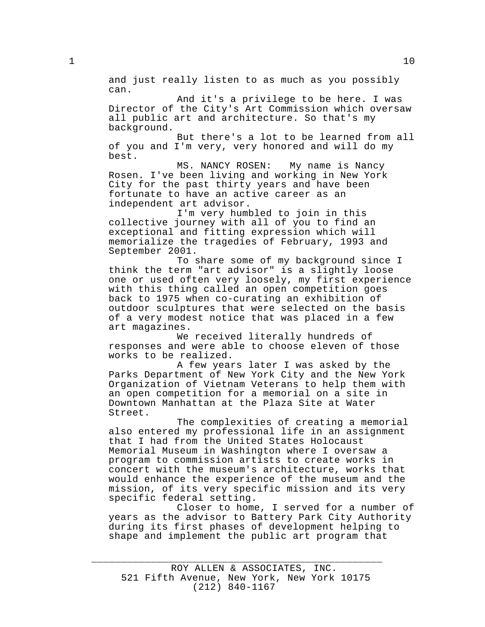and just really listen to as much as you possibly can.

And it's a privilege to be here. I was Director of the City's Art Commission which oversaw all public art and architecture. So that's my background.

But there's a lot to be learned from all of you and I'm very, very honored and will do my best.

MS. NANCY ROSEN: My name is Nancy Rosen. I've been living and working in New York City for the past thirty years and have been fortunate to have an active career as an independent art advisor.

I'm very humbled to join in this collective journey with all of you to find an exceptional and fitting expression which will memorialize the tragedies of February, 1993 and September 2001.

To share some of my background since I think the term "art advisor" is a slightly loose one or used often very loosely, my first experience with this thing called an open competition goes back to 1975 when co-curating an exhibition of outdoor sculptures that were selected on the basis of a very modest notice that was placed in a few art magazines.

We received literally hundreds of responses and were able to choose eleven of those works to be realized.

A few years later I was asked by the Parks Department of New York City and the New York Organization of Vietnam Veterans to help them with an open competition for a memorial on a site in Downtown Manhattan at the Plaza Site at Water Street.

The complexities of creating a memorial also entered my professional life in an assignment that I had from the United States Holocaust Memorial Museum in Washington where I oversaw a program to commission artists to create works in concert with the museum's architecture, works that would enhance the experience of the museum and the mission, of its very specific mission and its very specific federal setting.

Closer to home, I served for a number of years as the advisor to Battery Park City Authority during its first phases of development helping to shape and implement the public art program that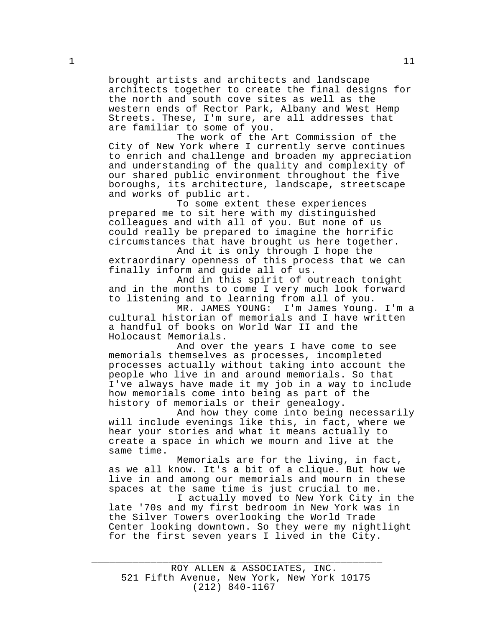brought artists and architects and landscape architects together to create the final designs for the north and south cove sites as well as the western ends of Rector Park, Albany and West Hemp Streets. These, I'm sure, are all addresses that are familiar to some of you.

The work of the Art Commission of the City of New York where I currently serve continues to enrich and challenge and broaden my appreciation and understanding of the quality and complexity of our shared public environment throughout the five boroughs, its architecture, landscape, streetscape and works of public art.

To some extent these experiences prepared me to sit here with my distinguished colleagues and with all of you. But none of us could really be prepared to imagine the horrific circumstances that have brought us here together.

And it is only through I hope the extraordinary openness of this process that we can finally inform and guide all of us.

And in this spirit of outreach tonight and in the months to come I very much look forward to listening and to learning from all of you.<br>MR. JAMES YOUNG: I'm James Young

I'm James Young. I'm a cultural historian of memorials and I have written a handful of books on World War II and the Holocaust Memorials.

And over the years I have come to see memorials themselves as processes, incompleted processes actually without taking into account the people who live in and around memorials. So that I've always have made it my job in a way to include how memorials come into being as part of the history of memorials or their genealogy.

And how they come into being necessarily will include evenings like this, in fact, where we hear your stories and what it means actually to create a space in which we mourn and live at the same time.

Memorials are for the living, in fact, as we all know. It's a bit of a clique. But how we live in and among our memorials and mourn in these spaces at the same time is just crucial to me.

I actually moved to New York City in the late '70s and my first bedroom in New York was in the Silver Towers overlooking the World Trade Center looking downtown. So they were my nightlight for the first seven years I lived in the City.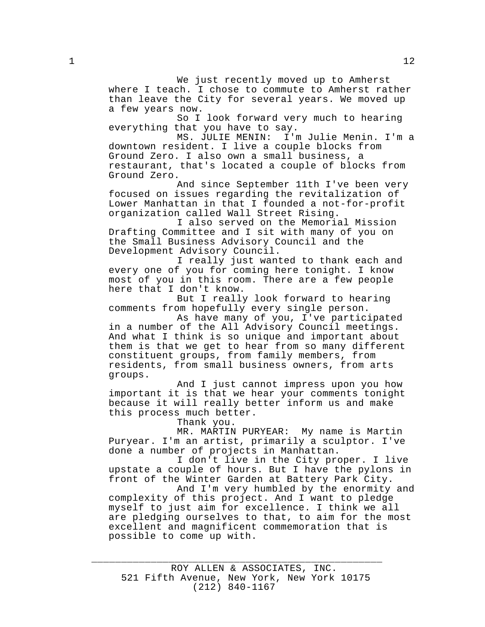We just recently moved up to Amherst where I teach. I chose to commute to Amherst rather than leave the City for several years. We moved up a few years now.

So I look forward very much to hearing everything that you have to say.

MS. JULIE MENIN: I'm Julie Menin. I'm a downtown resident. I live a couple blocks from Ground Zero. I also own a small business, a restaurant, that's located a couple of blocks from Ground Zero.

And since September 11th I've been very focused on issues regarding the revitalization of Lower Manhattan in that I founded a not-for-profit organization called Wall Street Rising.

I also served on the Memorial Mission Drafting Committee and I sit with many of you on the Small Business Advisory Council and the Development Advisory Council.

I really just wanted to thank each and every one of you for coming here tonight. I know most of you in this room. There are a few people here that I don't know.

But I really look forward to hearing comments from hopefully every single person.

As have many of you, I've participated in a number of the All Advisory Council meetings. And what I think is so unique and important about them is that we get to hear from so many different constituent groups, from family members, from residents, from small business owners, from arts groups.

And I just cannot impress upon you how important it is that we hear your comments tonight because it will really better inform us and make this process much better.

Thank you.

MR. MARTIN PURYEAR: My name is Martin Puryear. I'm an artist, primarily a sculptor. I've done a number of projects in Manhattan.

I don't live in the City proper. I live upstate a couple of hours. But I have the pylons in front of the Winter Garden at Battery Park City.

And I'm very humbled by the enormity and complexity of this project. And I want to pledge myself to just aim for excellence. I think we all are pledging ourselves to that, to aim for the most excellent and magnificent commemoration that is possible to come up with.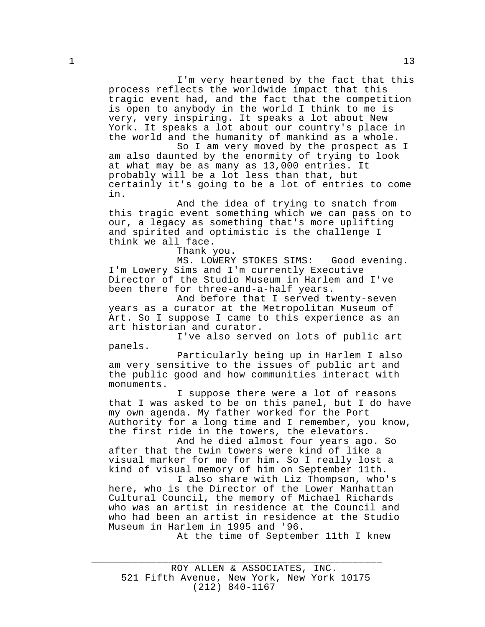I'm very heartened by the fact that this process reflects the worldwide impact that this tragic event had, and the fact that the competition is open to anybody in the world I think to me is very, very inspiring. It speaks a lot about New York. It speaks a lot about our country's place in the world and the humanity of mankind as a whole.

So I am very moved by the prospect as I am also daunted by the enormity of trying to look at what may be as many as 13,000 entries. It probably will be a lot less than that, but certainly it's going to be a lot of entries to come in.

And the idea of trying to snatch from this tragic event something which we can pass on to our, a legacy as something that's more uplifting and spirited and optimistic is the challenge I think we all face.

Thank you.

MS. LOWERY STOKES SIMS: Good evening. I'm Lowery Sims and I'm currently Executive Director of the Studio Museum in Harlem and I've been there for three-and-a-half years.

And before that I served twenty-seven years as a curator at the Metropolitan Museum of Art. So I suppose I came to this experience as an art historian and curator.

I've also served on lots of public art panels.

Particularly being up in Harlem I also am very sensitive to the issues of public art and the public good and how communities interact with monuments.

I suppose there were a lot of reasons that I was asked to be on this panel, but I do have my own agenda. My father worked for the Port Authority for a long time and I remember, you know, the first ride in the towers, the elevators.

And he died almost four years ago. So after that the twin towers were kind of like a visual marker for me for him. So I really lost a kind of visual memory of him on September 11th.

I also share with Liz Thompson, who's here, who is the Director of the Lower Manhattan Cultural Council, the memory of Michael Richards who was an artist in residence at the Council and who had been an artist in residence at the Studio Museum in Harlem in 1995 and '96.

At the time of September 11th I knew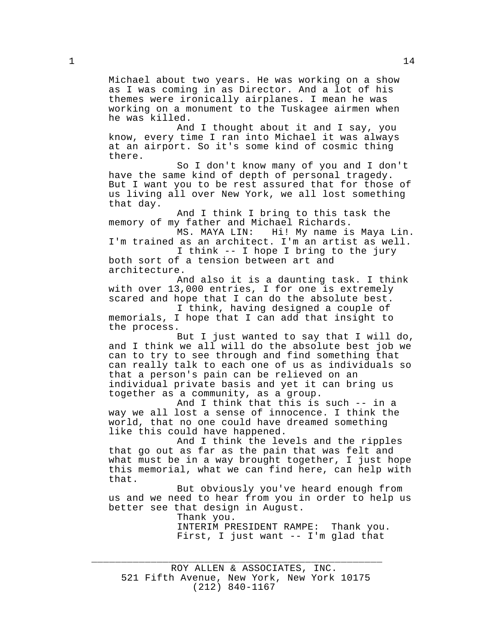Michael about two years. He was working on a show as I was coming in as Director. And a lot of his themes were ironically airplanes. I mean he was working on a monument to the Tuskagee airmen when he was killed.

And I thought about it and I say, you know, every time I ran into Michael it was always at an airport. So it's some kind of cosmic thing there.

So I don't know many of you and I don't have the same kind of depth of personal tragedy. But I want you to be rest assured that for those of us living all over New York, we all lost something that day.

And I think I bring to this task the memory of my father and Michael Richards.<br>MS. MAYA LIN: Hi! My name is

Hi! My name is Maya Lin. I'm trained as an architect. I'm an artist as well. I think -- I hope I bring to the jury

both sort of a tension between art and architecture.

And also it is a daunting task. I think with over 13,000 entries, I for one is extremely scared and hope that I can do the absolute best.

I think, having designed a couple of memorials, I hope that I can add that insight to the process.

But I just wanted to say that I will do, and I think we all will do the absolute best job we can to try to see through and find something that can really talk to each one of us as individuals so that a person's pain can be relieved on an individual private basis and yet it can bring us together as a community, as a group.

And I think that this is such -- in a way we all lost a sense of innocence. I think the world, that no one could have dreamed something like this could have happened.

And I think the levels and the ripples that go out as far as the pain that was felt and what must be in a way brought together, I just hope this memorial, what we can find here, can help with that.

But obviously you've heard enough from us and we need to hear from you in order to help us better see that design in August.

Thank you.

INTERIM PRESIDENT RAMPE: Thank you. First, I just want -- I'm glad that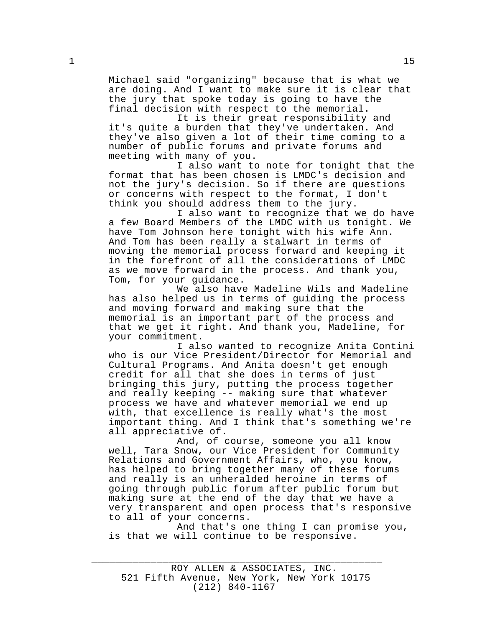Michael said "organizing" because that is what we are doing. And I want to make sure it is clear that the jury that spoke today is going to have the final decision with respect to the memorial.

It is their great responsibility and it's quite a burden that they've undertaken. And they've also given a lot of their time coming to a number of public forums and private forums and meeting with many of you.

I also want to note for tonight that the format that has been chosen is LMDC's decision and not the jury's decision. So if there are questions or concerns with respect to the format, I don't think you should address them to the jury.

I also want to recognize that we do have a few Board Members of the LMDC with us tonight. We have Tom Johnson here tonight with his wife Ann. And Tom has been really a stalwart in terms of moving the memorial process forward and keeping it in the forefront of all the considerations of LMDC as we move forward in the process. And thank you, Tom, for your guidance.

We also have Madeline Wils and Madeline has also helped us in terms of guiding the process and moving forward and making sure that the memorial is an important part of the process and that we get it right. And thank you, Madeline, for your commitment.

I also wanted to recognize Anita Contini who is our Vice President/Director for Memorial and Cultural Programs. And Anita doesn't get enough credit for all that she does in terms of just bringing this jury, putting the process together and really keeping -- making sure that whatever process we have and whatever memorial we end up with, that excellence is really what's the most important thing. And I think that's something we're all appreciative of.

And, of course, someone you all know well, Tara Snow, our Vice President for Community Relations and Government Affairs, who, you know, has helped to bring together many of these forums and really is an unheralded heroine in terms of going through public forum after public forum but making sure at the end of the day that we have a very transparent and open process that's responsive to all of your concerns.

And that's one thing I can promise you, is that we will continue to be responsive.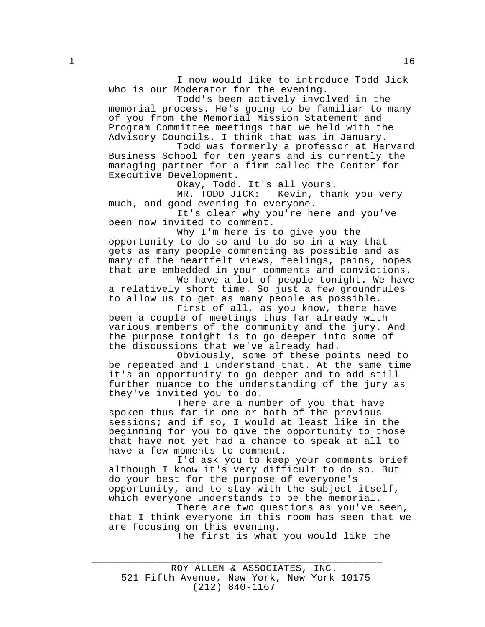I now would like to introduce Todd Jick who is our Moderator for the evening.

Todd's been actively involved in the memorial process. He's going to be familiar to many of you from the Memorial Mission Statement and Program Committee meetings that we held with the Advisory Councils. I think that was in January.

Todd was formerly a professor at Harvard Business School for ten years and is currently the managing partner for a firm called the Center for Executive Development.

Okay, Todd. It's all yours.

MR. TODD JICK: Kevin, thank you very much, and good evening to everyone.

It's clear why you're here and you've been now invited to comment.

Why I'm here is to give you the opportunity to do so and to do so in a way that gets as many people commenting as possible and as many of the heartfelt views, feelings, pains, hopes that are embedded in your comments and convictions.

We have a lot of people tonight. We have a relatively short time. So just a few groundrules to allow us to get as many people as possible.

First of all, as you know, there have been a couple of meetings thus far already with various members of the community and the jury. And the purpose tonight is to go deeper into some of the discussions that we've already had.

Obviously, some of these points need to be repeated and I understand that. At the same time it's an opportunity to go deeper and to add still further nuance to the understanding of the jury as they've invited you to do.

There are a number of you that have spoken thus far in one or both of the previous sessions; and if so, I would at least like in the beginning for you to give the opportunity to those that have not yet had a chance to speak at all to have a few moments to comment.

I'd ask you to keep your comments brief although I know it's very difficult to do so. But do your best for the purpose of everyone's opportunity, and to stay with the subject itself, which everyone understands to be the memorial.

There are two questions as you've seen, that I think everyone in this room has seen that we are focusing on this evening.

The first is what you would like the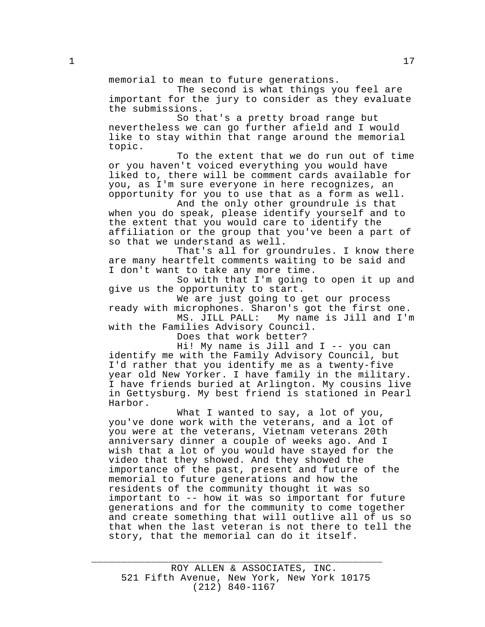memorial to mean to future generations.

The second is what things you feel are important for the jury to consider as they evaluate the submissions.

So that's a pretty broad range but nevertheless we can go further afield and I would like to stay within that range around the memorial topic.

To the extent that we do run out of time or you haven't voiced everything you would have liked to, there will be comment cards available for you, as I'm sure everyone in here recognizes, an opportunity for you to use that as a form as well.

And the only other groundrule is that when you do speak, please identify yourself and to the extent that you would care to identify the affiliation or the group that you've been a part of so that we understand as well.

That's all for groundrules. I know there are many heartfelt comments waiting to be said and I don't want to take any more time.

So with that I'm going to open it up and give us the opportunity to start.

We are just going to get our process ready with microphones. Sharon's got the first one.<br>MS. JILL PALL: My name is Jill and I'm

My name is Jill and I'm with the Families Advisory Council.

Does that work better?

Hi! My name is Jill and I -- you can identify me with the Family Advisory Council, but I'd rather that you identify me as a twenty-five year old New Yorker. I have family in the military. I have friends buried at Arlington. My cousins live in Gettysburg. My best friend is stationed in Pearl Harbor.

What I wanted to say, a lot of you, you've done work with the veterans, and a lot of you were at the veterans, Vietnam veterans 20th anniversary dinner a couple of weeks ago. And I wish that a lot of you would have stayed for the video that they showed. And they showed the importance of the past, present and future of the memorial to future generations and how the residents of the community thought it was so important to -- how it was so important for future generations and for the community to come together and create something that will outlive all of us so that when the last veteran is not there to tell the story, that the memorial can do it itself.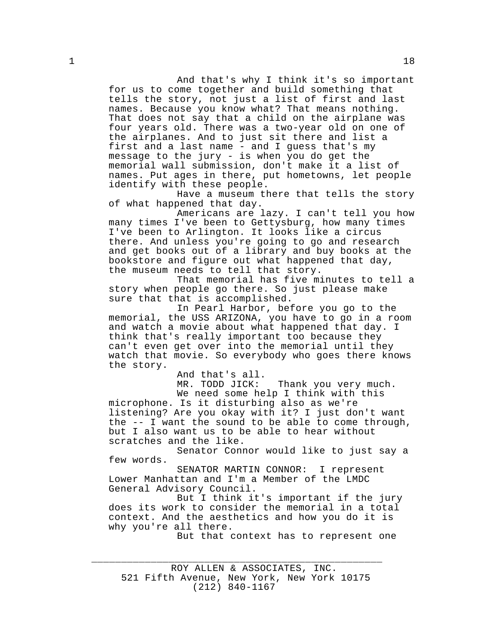And that's why I think it's so important for us to come together and build something that tells the story, not just a list of first and last names. Because you know what? That means nothing. That does not say that a child on the airplane was four years old. There was a two-year old on one of the airplanes. And to just sit there and list a first and a last name - and I guess that's my message to the jury - is when you do get the memorial wall submission, don't make it a list of names. Put ages in there, put hometowns, let people identify with these people.

Have a museum there that tells the story of what happened that day.

Americans are lazy. I can't tell you how many times I've been to Gettysburg, how many times I've been to Arlington. It looks like a circus there. And unless you're going to go and research and get books out of a library and buy books at the bookstore and figure out what happened that day, the museum needs to tell that story.

That memorial has five minutes to tell a story when people go there. So just please make sure that that is accomplished.

In Pearl Harbor, before you go to the memorial, the USS ARIZONA, you have to go in a room and watch a movie about what happened that day. I think that's really important too because they can't even get over into the memorial until they watch that movie. So everybody who goes there knows the story.

And that's all.

MR. TODD JICK: Thank you very much. We need some help I think with this

microphone. Is it disturbing also as we're listening? Are you okay with it? I just don't want the -- I want the sound to be able to come through, but I also want us to be able to hear without scratches and the like.

Senator Connor would like to just say a few words.

SENATOR MARTIN CONNOR: I represent Lower Manhattan and I'm a Member of the LMDC General Advisory Council.

But I think it's important if the jury does its work to consider the memorial in a total context. And the aesthetics and how you do it is why you're all there.

But that context has to represent one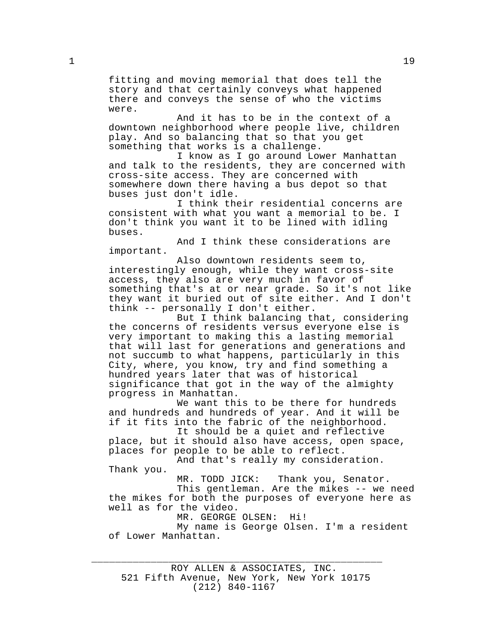fitting and moving memorial that does tell the story and that certainly conveys what happened there and conveys the sense of who the victims were.

And it has to be in the context of a downtown neighborhood where people live, children play. And so balancing that so that you get something that works is a challenge.

I know as I go around Lower Manhattan and talk to the residents, they are concerned with cross-site access. They are concerned with somewhere down there having a bus depot so that buses just don't idle.

I think their residential concerns are consistent with what you want a memorial to be. I don't think you want it to be lined with idling buses.

And I think these considerations are important.

Also downtown residents seem to, interestingly enough, while they want cross-site access, they also are very much in favor of something that's at or near grade. So it's not like they want it buried out of site either. And I don't think -- personally I don't either.

But I think balancing that, considering the concerns of residents versus everyone else is very important to making this a lasting memorial that will last for generations and generations and not succumb to what happens, particularly in this City, where, you know, try and find something a hundred years later that was of historical significance that got in the way of the almighty progress in Manhattan.

We want this to be there for hundreds and hundreds and hundreds of year. And it will be if it fits into the fabric of the neighborhood.

It should be a quiet and reflective place, but it should also have access, open space, places for people to be able to reflect.

And that's really my consideration.

Thank you.

MR. TODD JICK: Thank you, Senator.

This gentleman. Are the mikes -- we need the mikes for both the purposes of everyone here as well as for the video.

MR. GEORGE OLSEN: Hi!

My name is George Olsen. I'm a resident of Lower Manhattan.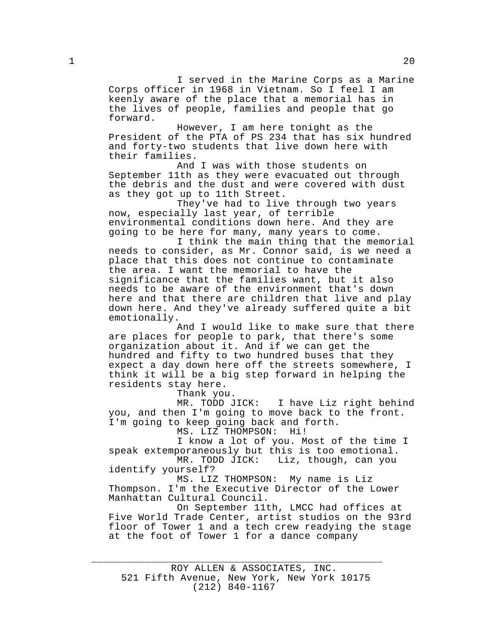I served in the Marine Corps as a Marine Corps officer in 1968 in Vietnam. So I feel I am keenly aware of the place that a memorial has in the lives of people, families and people that go forward.

However, I am here tonight as the President of the PTA of PS 234 that has six hundred and forty-two students that live down here with their families.

And I was with those students on September 11th as they were evacuated out through the debris and the dust and were covered with dust as they got up to 11th Street.

They've had to live through two years now, especially last year, of terrible environmental conditions down here. And they are going to be here for many, many years to come.

I think the main thing that the memorial needs to consider, as Mr. Connor said, is we need a place that this does not continue to contaminate the area. I want the memorial to have the significance that the families want, but it also needs to be aware of the environment that's down here and that there are children that live and play down here. And they've already suffered quite a bit emotionally.

And I would like to make sure that there are places for people to park, that there's some organization about it. And if we can get the hundred and fifty to two hundred buses that they expect a day down here off the streets somewhere, I think it will be a big step forward in helping the residents stay here.

Thank you.

MR. TODD JICK: I have Liz right behind you, and then I'm going to move back to the front. I'm going to keep going back and forth.

MS. LIZ THOMPSON: Hi!

I know a lot of you. Most of the time I speak extemporaneously but this is too emotional.

MR. TODD JICK: Liz, though, can you identify yourself?

MS. LIZ THOMPSON: My name is Liz Thompson. I'm the Executive Director of the Lower Manhattan Cultural Council.

On September 11th, LMCC had offices at Five World Trade Center, artist studios on the 93rd floor of Tower 1 and a tech crew readying the stage at the foot of Tower 1 for a dance company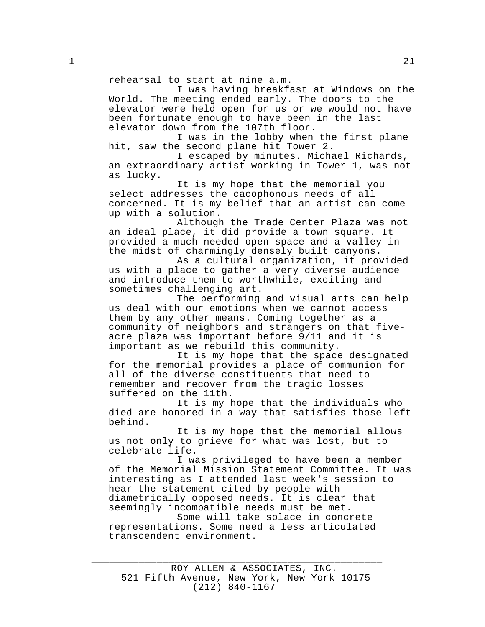rehearsal to start at nine a.m.

I was having breakfast at Windows on the World. The meeting ended early. The doors to the elevator were held open for us or we would not have been fortunate enough to have been in the last elevator down from the 107th floor.

I was in the lobby when the first plane hit, saw the second plane hit Tower 2.

I escaped by minutes. Michael Richards, an extraordinary artist working in Tower 1, was not as lucky.

It is my hope that the memorial you select addresses the cacophonous needs of all concerned. It is my belief that an artist can come up with a solution.

Although the Trade Center Plaza was not an ideal place, it did provide a town square. It provided a much needed open space and a valley in the midst of charmingly densely built canyons.

As a cultural organization, it provided us with a place to gather a very diverse audience and introduce them to worthwhile, exciting and sometimes challenging art.

The performing and visual arts can help us deal with our emotions when we cannot access them by any other means. Coming together as a community of neighbors and strangers on that fiveacre plaza was important before 9/11 and it is important as we rebuild this community.

It is my hope that the space designated for the memorial provides a place of communion for all of the diverse constituents that need to remember and recover from the tragic losses suffered on the 11th.

It is my hope that the individuals who died are honored in a way that satisfies those left behind.

It is my hope that the memorial allows us not only to grieve for what was lost, but to celebrate life.

I was privileged to have been a member of the Memorial Mission Statement Committee. It was interesting as I attended last week's session to hear the statement cited by people with diametrically opposed needs. It is clear that seemingly incompatible needs must be met.

Some will take solace in concrete representations. Some need a less articulated transcendent environment.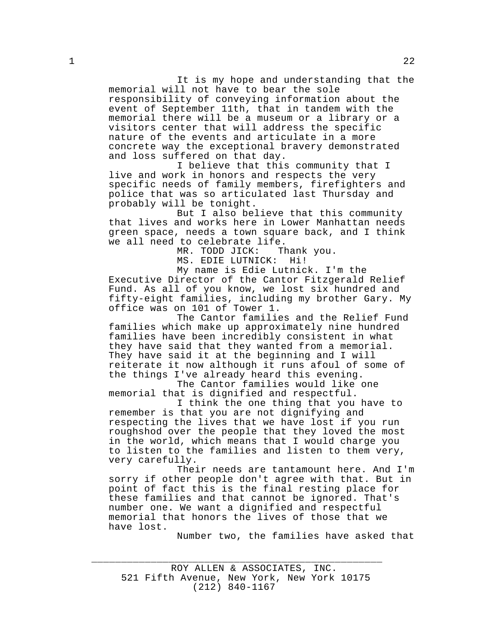It is my hope and understanding that the

memorial will not have to bear the sole responsibility of conveying information about the event of September 11th, that in tandem with the memorial there will be a museum or a library or a visitors center that will address the specific nature of the events and articulate in a more concrete way the exceptional bravery demonstrated and loss suffered on that day.

I believe that this community that I live and work in honors and respects the very specific needs of family members, firefighters and police that was so articulated last Thursday and probably will be tonight.

But I also believe that this community that lives and works here in Lower Manhattan needs green space, needs a town square back, and I think we all need to celebrate life.<br>MR. TODD JICK: Thank you.

MR. TODD JICK:

MS. EDIE LUTNICK: Hi!

My name is Edie Lutnick. I'm the Executive Director of the Cantor Fitzgerald Relief Fund. As all of you know, we lost six hundred and fifty-eight families, including my brother Gary. My office was on 101 of Tower 1.

The Cantor families and the Relief Fund families which make up approximately nine hundred families have been incredibly consistent in what they have said that they wanted from a memorial. They have said it at the beginning and I will reiterate it now although it runs afoul of some of the things I've already heard this evening.

The Cantor families would like one memorial that is dignified and respectful.

I think the one thing that you have to remember is that you are not dignifying and respecting the lives that we have lost if you run roughshod over the people that they loved the most in the world, which means that I would charge you to listen to the families and listen to them very, very carefully.

Their needs are tantamount here. And I'm sorry if other people don't agree with that. But in point of fact this is the final resting place for these families and that cannot be ignored. That's number one. We want a dignified and respectful memorial that honors the lives of those that we have lost.

Number two, the families have asked that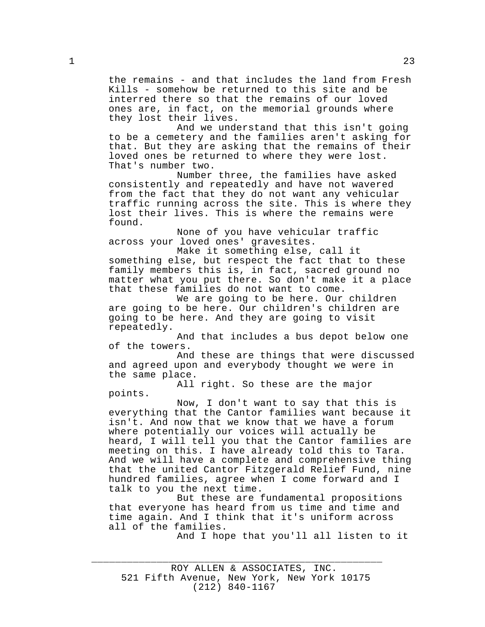the remains - and that includes the land from Fresh Kills - somehow be returned to this site and be interred there so that the remains of our loved ones are, in fact, on the memorial grounds where they lost their lives.

And we understand that this isn't going to be a cemetery and the families aren't asking for that. But they are asking that the remains of their loved ones be returned to where they were lost. That's number two.

Number three, the families have asked consistently and repeatedly and have not wavered from the fact that they do not want any vehicular traffic running across the site. This is where they lost their lives. This is where the remains were found.

None of you have vehicular traffic across your loved ones' gravesites.

Make it something else, call it something else, but respect the fact that to these family members this is, in fact, sacred ground no matter what you put there. So don't make it a place that these families do not want to come.

We are going to be here. Our children are going to be here. Our children's children are going to be here. And they are going to visit repeatedly.

And that includes a bus depot below one of the towers.

And these are things that were discussed and agreed upon and everybody thought we were in the same place.

All right. So these are the major points.

Now, I don't want to say that this is everything that the Cantor families want because it isn't. And now that we know that we have a forum where potentially our voices will actually be heard, I will tell you that the Cantor families are meeting on this. I have already told this to Tara. And we will have a complete and comprehensive thing that the united Cantor Fitzgerald Relief Fund, nine hundred families, agree when I come forward and I talk to you the next time.

But these are fundamental propositions that everyone has heard from us time and time and time again. And I think that it's uniform across all of the families.

And I hope that you'll all listen to it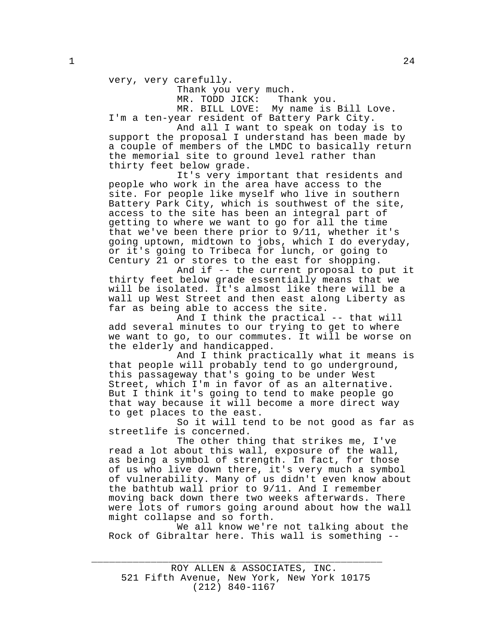very, very carefully.

Thank you very much.<br>MR. TODD JICK: Thank you.

MR. TODD JICK:

MR. BILL LOVE: My name is Bill Love. I'm a ten-year resident of Battery Park City.

And all I want to speak on today is to support the proposal I understand has been made by a couple of members of the LMDC to basically return the memorial site to ground level rather than thirty feet below grade.

It's very important that residents and people who work in the area have access to the site. For people like myself who live in southern Battery Park City, which is southwest of the site, access to the site has been an integral part of getting to where we want to go for all the time that we've been there prior to 9/11, whether it's going uptown, midtown to jobs, which I do everyday, or it's going to Tribeca for lunch, or going to Century 21 or stores to the east for shopping.

And if -- the current proposal to put it thirty feet below grade essentially means that we will be isolated. It's almost like there will be a wall up West Street and then east along Liberty as far as being able to access the site.

And I think the practical -- that will add several minutes to our trying to get to where we want to go, to our commutes. It will be worse on the elderly and handicapped.

And I think practically what it means is that people will probably tend to go underground, this passageway that's going to be under West Street, which I'm in favor of as an alternative. But I think it's going to tend to make people go that way because it will become a more direct way to get places to the east.

So it will tend to be not good as far as streetlife is concerned.

The other thing that strikes me, I've read a lot about this wall, exposure of the wall, as being a symbol of strength. In fact, for those of us who live down there, it's very much a symbol of vulnerability. Many of us didn't even know about the bathtub wall prior to 9/11. And I remember moving back down there two weeks afterwards. There were lots of rumors going around about how the wall might collapse and so forth.

We all know we're not talking about the Rock of Gibraltar here. This wall is something --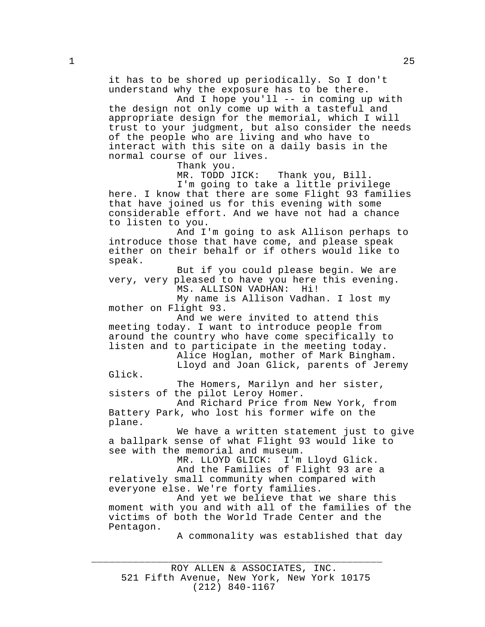it has to be shored up periodically. So I don't understand why the exposure has to be there.

And I hope you'll -- in coming up with the design not only come up with a tasteful and appropriate design for the memorial, which I will trust to your judgment, but also consider the needs of the people who are living and who have to interact with this site on a daily basis in the normal course of our lives.

Thank you.

MR. TODD JICK: Thank you, Bill.

I'm going to take a little privilege here. I know that there are some Flight 93 families that have joined us for this evening with some considerable effort. And we have not had a chance to listen to you.

And I'm going to ask Allison perhaps to introduce those that have come, and please speak either on their behalf or if others would like to speak.

But if you could please begin. We are very, very pleased to have you here this evening. MS. ALLISON VADHAN: Hi!

My name is Allison Vadhan. I lost my mother on Flight 93.

And we were invited to attend this meeting today. I want to introduce people from around the country who have come specifically to listen and to participate in the meeting today.

Alice Hoglan, mother of Mark Bingham. Lloyd and Joan Glick, parents of Jeremy

Glick.

The Homers, Marilyn and her sister, sisters of the pilot Leroy Homer.

And Richard Price from New York, from Battery Park, who lost his former wife on the plane.

We have a written statement just to give a ballpark sense of what Flight 93 would like to see with the memorial and museum.

MR. LLOYD GLICK: I'm Lloyd Glick.

And the Families of Flight 93 are a relatively small community when compared with everyone else. We're forty families.

And yet we believe that we share this moment with you and with all of the families of the victims of both the World Trade Center and the Pentagon.

A commonality was established that day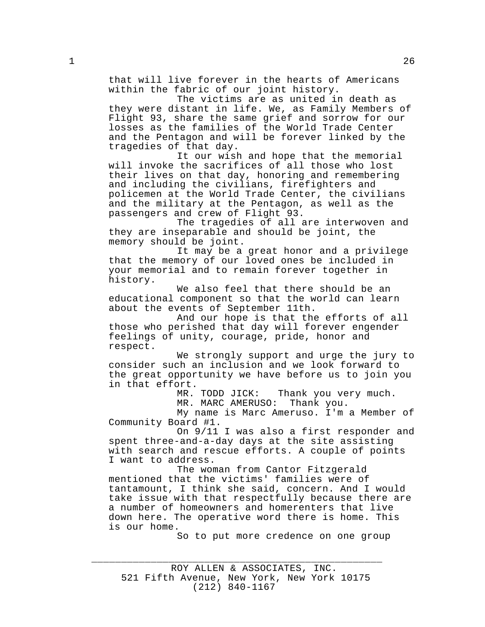that will live forever in the hearts of Americans within the fabric of our joint history.

The victims are as united in death as they were distant in life. We, as Family Members of Flight 93, share the same grief and sorrow for our losses as the families of the World Trade Center and the Pentagon and will be forever linked by the tragedies of that day.

It our wish and hope that the memorial will invoke the sacrifices of all those who lost their lives on that day, honoring and remembering and including the civilians, firefighters and policemen at the World Trade Center, the civilians and the military at the Pentagon, as well as the passengers and crew of Flight 93.

The tragedies of all are interwoven and they are inseparable and should be joint, the memory should be joint.

It may be a great honor and a privilege that the memory of our loved ones be included in your memorial and to remain forever together in history.

We also feel that there should be an educational component so that the world can learn about the events of September 11th.

And our hope is that the efforts of all those who perished that day will forever engender feelings of unity, courage, pride, honor and respect.

We strongly support and urge the jury to consider such an inclusion and we look forward to the great opportunity we have before us to join you in that effort.

MR. TODD JICK: Thank you very much.

MR. MARC AMERUSO: Thank you.

My name is Marc Ameruso. I'm a Member of Community Board #1.

On 9/11 I was also a first responder and spent three-and-a-day days at the site assisting with search and rescue efforts. A couple of points I want to address.

The woman from Cantor Fitzgerald mentioned that the victims' families were of tantamount, I think she said, concern. And I would take issue with that respectfully because there are a number of homeowners and homerenters that live down here. The operative word there is home. This is our home.

So to put more credence on one group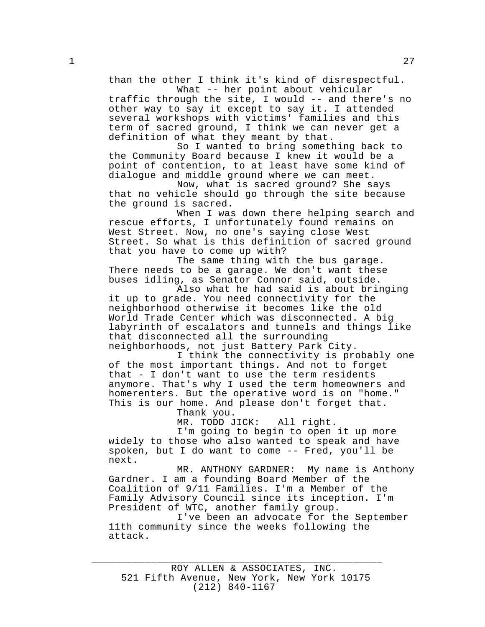than the other I think it's kind of disrespectful. What -- her point about vehicular

traffic through the site, I would -- and there's no other way to say it except to say it. I attended several workshops with victims' families and this term of sacred ground, I think we can never get a definition of what they meant by that.

So I wanted to bring something back to the Community Board because I knew it would be a point of contention, to at least have some kind of dialogue and middle ground where we can meet.

Now, what is sacred ground? She says that no vehicle should go through the site because the ground is sacred.

When I was down there helping search and rescue efforts, I unfortunately found remains on West Street. Now, no one's saying close West Street. So what is this definition of sacred ground that you have to come up with?

The same thing with the bus garage. There needs to be a garage. We don't want these buses idling, as Senator Connor said, outside.

Also what he had said is about bringing it up to grade. You need connectivity for the neighborhood otherwise it becomes like the old World Trade Center which was disconnected. A big labyrinth of escalators and tunnels and things like that disconnected all the surrounding neighborhoods, not just Battery Park City.

I think the connectivity is probably one of the most important things. And not to forget that - I don't want to use the term residents anymore. That's why I used the term homeowners and homerenters. But the operative word is on "home." This is our home. And please don't forget that.

Thank you.

MR. TODD JICK: All right.

I'm going to begin to open it up more widely to those who also wanted to speak and have spoken, but I do want to come -- Fred, you'll be next.

MR. ANTHONY GARDNER: My name is Anthony Gardner. I am a founding Board Member of the Coalition of 9/11 Families. I'm a Member of the Family Advisory Council since its inception. I'm President of WTC, another family group.

I've been an advocate for the September 11th community since the weeks following the attack.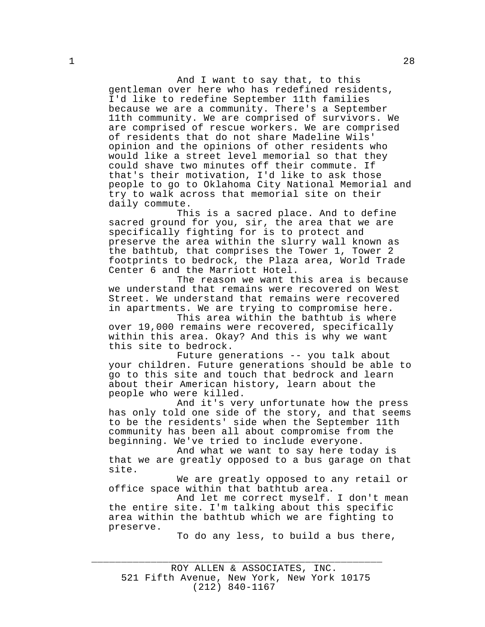And I want to say that, to this gentleman over here who has redefined residents, I'd like to redefine September 11th families because we are a community. There's a September 11th community. We are comprised of survivors. We are comprised of rescue workers. We are comprised of residents that do not share Madeline Wils' opinion and the opinions of other residents who would like a street level memorial so that they could shave two minutes off their commute. If that's their motivation, I'd like to ask those people to go to Oklahoma City National Memorial and try to walk across that memorial site on their daily commute.

This is a sacred place. And to define sacred ground for you, sir, the area that we are specifically fighting for is to protect and preserve the area within the slurry wall known as the bathtub, that comprises the Tower 1, Tower 2 footprints to bedrock, the Plaza area, World Trade Center 6 and the Marriott Hotel.

The reason we want this area is because we understand that remains were recovered on West Street. We understand that remains were recovered in apartments. We are trying to compromise here.

This area within the bathtub is where over 19,000 remains were recovered, specifically within this area. Okay? And this is why we want this site to bedrock.

Future generations -- you talk about your children. Future generations should be able to go to this site and touch that bedrock and learn about their American history, learn about the people who were killed.

And it's very unfortunate how the press has only told one side of the story, and that seems to be the residents' side when the September 11th community has been all about compromise from the beginning. We've tried to include everyone.

And what we want to say here today is that we are greatly opposed to a bus garage on that site.

We are greatly opposed to any retail or office space within that bathtub area.

And let me correct myself. I don't mean the entire site. I'm talking about this specific area within the bathtub which we are fighting to preserve.

To do any less, to build a bus there,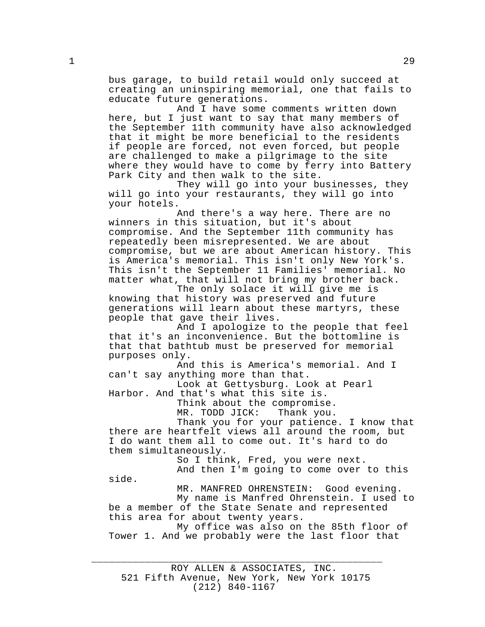bus garage, to build retail would only succeed at creating an uninspiring memorial, one that fails to educate future generations.

And I have some comments written down here, but I just want to say that many members of the September 11th community have also acknowledged that it might be more beneficial to the residents if people are forced, not even forced, but people are challenged to make a pilgrimage to the site where they would have to come by ferry into Battery Park City and then walk to the site.

They will go into your businesses, they will go into your restaurants, they will go into your hotels.

And there's a way here. There are no winners in this situation, but it's about compromise. And the September 11th community has repeatedly been misrepresented. We are about compromise, but we are about American history. This is America's memorial. This isn't only New York's. This isn't the September 11 Families' memorial. No matter what, that will not bring my brother back.

The only solace it will give me is knowing that history was preserved and future generations will learn about these martyrs, these people that gave their lives.

And I apologize to the people that feel that it's an inconvenience. But the bottomline is that that bathtub must be preserved for memorial purposes only.

And this is America's memorial. And I can't say anything more than that.

Look at Gettysburg. Look at Pearl Harbor. And that's what this site is.

Think about the compromise.<br>MR. TODD JICK: Thank you. MR. TODD JICK:

Thank you for your patience. I know that there are heartfelt views all around the room, but I do want them all to come out. It's hard to do them simultaneously.

So I think, Fred, you were next.

And then I'm going to come over to this

side.

MR. MANFRED OHRENSTEIN: Good evening.

My name is Manfred Ohrenstein. I used to be a member of the State Senate and represented this area for about twenty years.

My office was also on the 85th floor of Tower 1. And we probably were the last floor that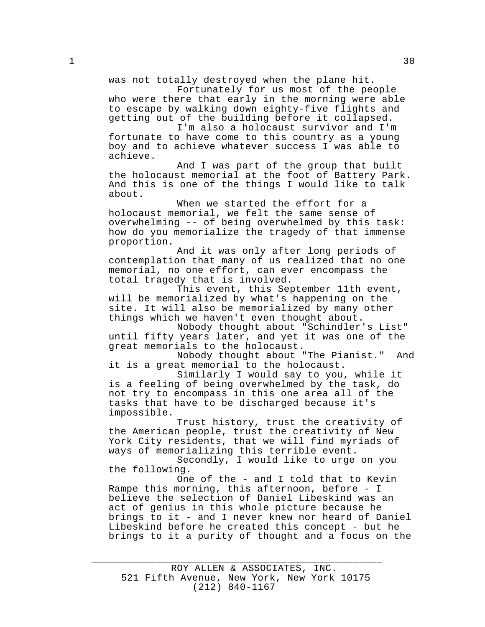was not totally destroyed when the plane hit.

Fortunately for us most of the people who were there that early in the morning were able to escape by walking down eighty-five flights and getting out of the building before it collapsed.

I'm also a holocaust survivor and I'm fortunate to have come to this country as a young boy and to achieve whatever success I was able to achieve.

And I was part of the group that built the holocaust memorial at the foot of Battery Park. And this is one of the things I would like to talk about.

When we started the effort for a holocaust memorial, we felt the same sense of overwhelming -- of being overwhelmed by this task: how do you memorialize the tragedy of that immense proportion.

And it was only after long periods of contemplation that many of us realized that no one memorial, no one effort, can ever encompass the total tragedy that is involved.

This event, this September 11th event, will be memorialized by what's happening on the site. It will also be memorialized by many other things which we haven't even thought about.

Nobody thought about "Schindler's List" until fifty years later, and yet it was one of the great memorials to the holocaust.

Nobody thought about "The Pianist." And it is a great memorial to the holocaust.

Similarly I would say to you, while it is a feeling of being overwhelmed by the task, do not try to encompass in this one area all of the tasks that have to be discharged because it's impossible.

Trust history, trust the creativity of the American people, trust the creativity of New York City residents, that we will find myriads of ways of memorializing this terrible event.

Secondly, I would like to urge on you the following.

One of the - and I told that to Kevin Rampe this morning, this afternoon, before - I believe the selection of Daniel Libeskind was an act of genius in this whole picture because he brings to it - and I never knew nor heard of Daniel Libeskind before he created this concept - but he brings to it a purity of thought and a focus on the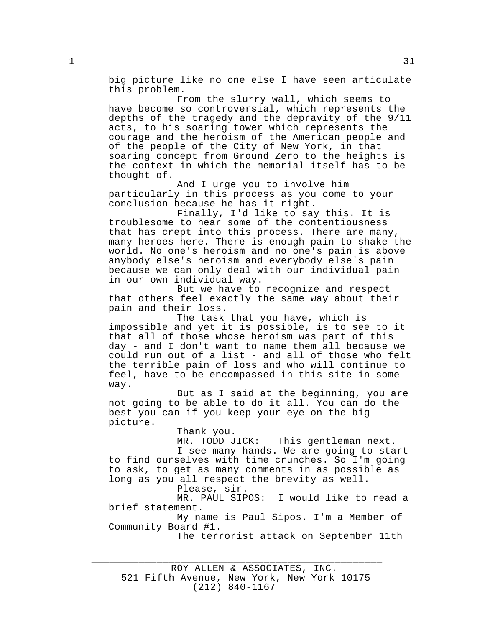big picture like no one else I have seen articulate this problem.

From the slurry wall, which seems to have become so controversial, which represents the depths of the tragedy and the depravity of the 9/11 acts, to his soaring tower which represents the courage and the heroism of the American people and of the people of the City of New York, in that soaring concept from Ground Zero to the heights is the context in which the memorial itself has to be thought of.

And I urge you to involve him particularly in this process as you come to your conclusion because he has it right.

Finally, I'd like to say this. It is troublesome to hear some of the contentiousness that has crept into this process. There are many, many heroes here. There is enough pain to shake the world. No one's heroism and no one's pain is above anybody else's heroism and everybody else's pain because we can only deal with our individual pain in our own individual way.

But we have to recognize and respect that others feel exactly the same way about their pain and their loss.

The task that you have, which is impossible and yet it is possible, is to see to it that all of those whose heroism was part of this day - and I don't want to name them all because we could run out of a list - and all of those who felt the terrible pain of loss and who will continue to feel, have to be encompassed in this site in some way.

But as I said at the beginning, you are not going to be able to do it all. You can do the best you can if you keep your eye on the big picture.

Thank you.

MR. TODD JICK: This gentleman next.

I see many hands. We are going to start to find ourselves with time crunches. So I'm going to ask, to get as many comments in as possible as long as you all respect the brevity as well.

Please, sir.

MR. PAUL SIPOS: I would like to read a brief statement.

My name is Paul Sipos. I'm a Member of Community Board #1.

The terrorist attack on September 11th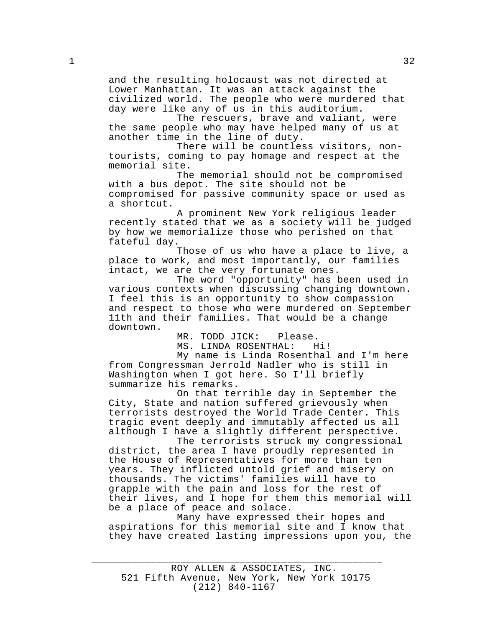and the resulting holocaust was not directed at Lower Manhattan. It was an attack against the civilized world. The people who were murdered that day were like any of us in this auditorium.

The rescuers, brave and valiant, were the same people who may have helped many of us at another time in the line of duty.

There will be countless visitors, nontourists, coming to pay homage and respect at the memorial site.

The memorial should not be compromised with a bus depot. The site should not be compromised for passive community space or used as a shortcut.

A prominent New York religious leader recently stated that we as a society will be judged by how we memorialize those who perished on that fateful day.

Those of us who have a place to live, a place to work, and most importantly, our families intact, we are the very fortunate ones.

The word "opportunity" has been used in various contexts when discussing changing downtown. I feel this is an opportunity to show compassion and respect to those who were murdered on September 11th and their families. That would be a change downtown.

MR. TODD JICK: Please.

MS. LINDA ROSENTHAL: Hi!

My name is Linda Rosenthal and I'm here from Congressman Jerrold Nadler who is still in Washington when I got here. So I'll briefly summarize his remarks.

On that terrible day in September the City, State and nation suffered grievously when terrorists destroyed the World Trade Center. This tragic event deeply and immutably affected us all although I have a slightly different perspective.

The terrorists struck my congressional district, the area I have proudly represented in the House of Representatives for more than ten years. They inflicted untold grief and misery on thousands. The victims' families will have to grapple with the pain and loss for the rest of their lives, and I hope for them this memorial will be a place of peace and solace.

Many have expressed their hopes and aspirations for this memorial site and I know that they have created lasting impressions upon you, the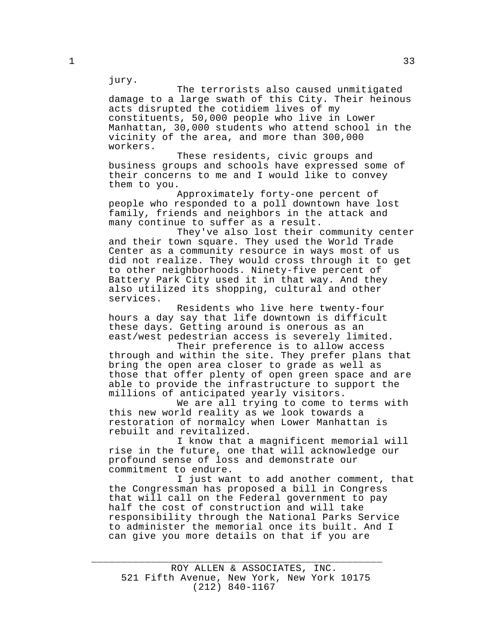jury.

The terrorists also caused unmitigated damage to a large swath of this City. Their heinous acts disrupted the cotidiem lives of my constituents, 50,000 people who live in Lower Manhattan, 30,000 students who attend school in the vicinity of the area, and more than 300,000 workers.

These residents, civic groups and business groups and schools have expressed some of their concerns to me and I would like to convey them to you.

Approximately forty-one percent of people who responded to a poll downtown have lost family, friends and neighbors in the attack and many continue to suffer as a result.

They've also lost their community center and their town square. They used the World Trade Center as a community resource in ways most of us did not realize. They would cross through it to get to other neighborhoods. Ninety-five percent of Battery Park City used it in that way. And they also utilized its shopping, cultural and other services.

Residents who live here twenty-four hours a day say that life downtown is difficult these days. Getting around is onerous as an east/west pedestrian access is severely limited.

Their preference is to allow access through and within the site. They prefer plans that bring the open area closer to grade as well as those that offer plenty of open green space and are able to provide the infrastructure to support the millions of anticipated yearly visitors.

We are all trying to come to terms with this new world reality as we look towards a restoration of normalcy when Lower Manhattan is rebuilt and revitalized.

I know that a magnificent memorial will rise in the future, one that will acknowledge our profound sense of loss and demonstrate our commitment to endure.

I just want to add another comment, that the Congressman has proposed a bill in Congress that will call on the Federal government to pay half the cost of construction and will take responsibility through the National Parks Service to administer the memorial once its built. And I can give you more details on that if you are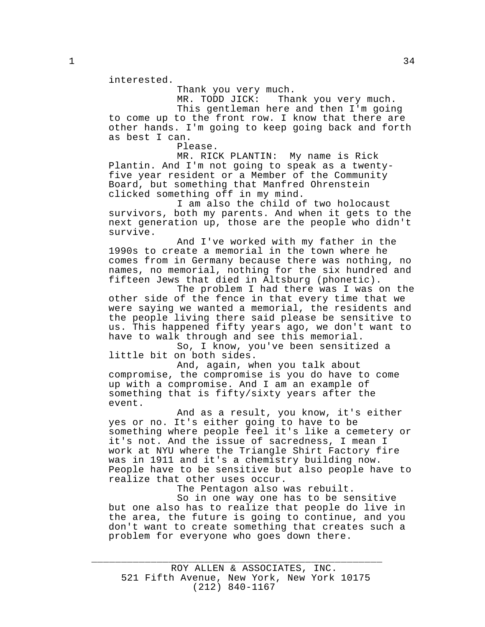interested.

Thank you very much.<br>MR. TODD JICK: Tha

Thank you very much.

This gentleman here and then I'm going to come up to the front row. I know that there are other hands. I'm going to keep going back and forth as best I can.

Please.

MR. RICK PLANTIN: My name is Rick Plantin. And I'm not going to speak as a twentyfive year resident or a Member of the Community Board, but something that Manfred Ohrenstein clicked something off in my mind.

I am also the child of two holocaust survivors, both my parents. And when it gets to the next generation up, those are the people who didn't survive.

And I've worked with my father in the 1990s to create a memorial in the town where he comes from in Germany because there was nothing, no names, no memorial, nothing for the six hundred and fifteen Jews that died in Altsburg (phonetic).

The problem I had there was I was on the other side of the fence in that every time that we were saying we wanted a memorial, the residents and the people living there said please be sensitive to us. This happened fifty years ago, we don't want to have to walk through and see this memorial.

So, I know, you've been sensitized a little bit on both sides.

And, again, when you talk about compromise, the compromise is you do have to come up with a compromise. And I am an example of something that is fifty/sixty years after the event.

And as a result, you know, it's either yes or no. It's either going to have to be something where people feel it's like a cemetery or it's not. And the issue of sacredness, I mean I work at NYU where the Triangle Shirt Factory fire was in 1911 and it's a chemistry building now. People have to be sensitive but also people have to realize that other uses occur.

The Pentagon also was rebuilt.

So in one way one has to be sensitive but one also has to realize that people do live in the area, the future is going to continue, and you don't want to create something that creates such a problem for everyone who goes down there.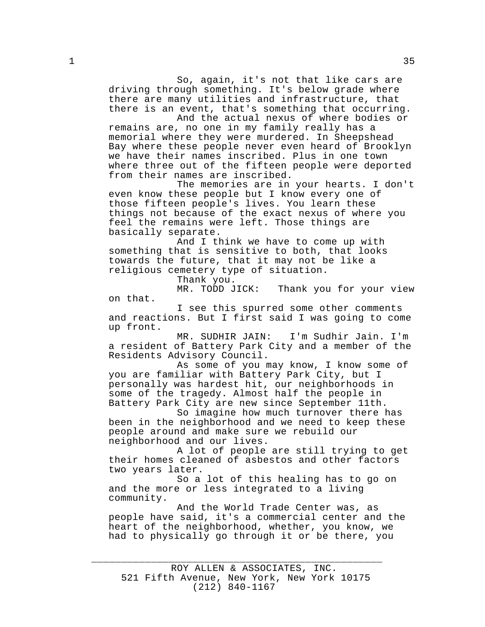So, again, it's not that like cars are driving through something. It's below grade where there are many utilities and infrastructure, that there is an event, that's something that occurring. And the actual nexus of where bodies or

remains are, no one in my family really has a memorial where they were murdered. In Sheepshead Bay where these people never even heard of Brooklyn we have their names inscribed. Plus in one town where three out of the fifteen people were deported from their names are inscribed.

The memories are in your hearts. I don't even know these people but I know every one of those fifteen people's lives. You learn these things not because of the exact nexus of where you feel the remains were left. Those things are basically separate.

And I think we have to come up with something that is sensitive to both, that looks towards the future, that it may not be like a religious cemetery type of situation.

Thank you.<br>MR. TODD JICK: Thank you for your view on that.

I see this spurred some other comments and reactions. But I first said I was going to come up front.

MR. SUDHIR JAIN: I'm Sudhir Jain. I'm a resident of Battery Park City and a member of the Residents Advisory Council.

As some of you may know, I know some of you are familiar with Battery Park City, but I personally was hardest hit, our neighborhoods in some of the tragedy. Almost half the people in Battery Park City are new since September 11th.

So imagine how much turnover there has been in the neighborhood and we need to keep these people around and make sure we rebuild our neighborhood and our lives.

A lot of people are still trying to get their homes cleaned of asbestos and other factors two years later.

So a lot of this healing has to go on and the more or less integrated to a living community.

And the World Trade Center was, as people have said, it's a commercial center and the heart of the neighborhood, whether, you know, we had to physically go through it or be there, you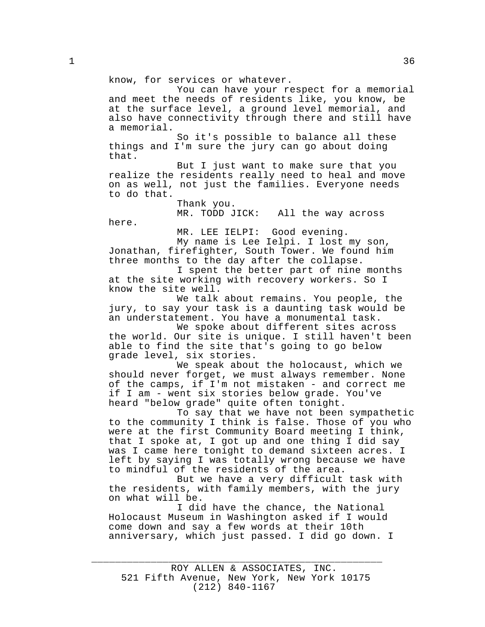know, for services or whatever.

You can have your respect for a memorial and meet the needs of residents like, you know, be at the surface level, a ground level memorial, and also have connectivity through there and still have a memorial.

So it's possible to balance all these things and I'm sure the jury can go about doing that.

But I just want to make sure that you realize the residents really need to heal and move on as well, not just the families. Everyone needs to do that.

Thank you.<br>MR. TODD JICK: All the way across

here.

MR. LEE IELPI: Good evening.

My name is Lee Ielpi. I lost my son, Jonathan, firefighter, South Tower. We found him three months to the day after the collapse.

I spent the better part of nine months at the site working with recovery workers. So I know the site well.

We talk about remains. You people, the jury, to say your task is a daunting task would be an understatement. You have a monumental task.

We spoke about different sites across the world. Our site is unique. I still haven't been able to find the site that's going to go below grade level, six stories.

We speak about the holocaust, which we should never forget, we must always remember. None of the camps, if I'm not mistaken - and correct me if I am - went six stories below grade. You've heard "below grade" quite often tonight.

To say that we have not been sympathetic to the community I think is false. Those of you who were at the first Community Board meeting I think, that I spoke at, I got up and one thing I did say was I came here tonight to demand sixteen acres. I left by saying I was totally wrong because we have to mindful of the residents of the area.

But we have a very difficult task with the residents, with family members, with the jury on what will be.

I did have the chance, the National Holocaust Museum in Washington asked if I would come down and say a few words at their 10th anniversary, which just passed. I did go down. I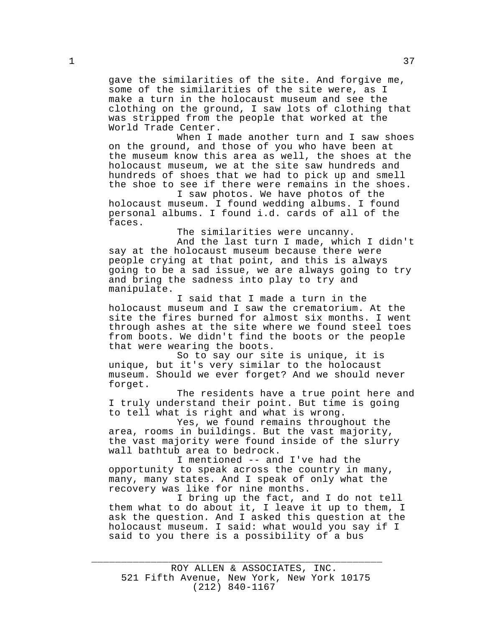gave the similarities of the site. And forgive me, some of the similarities of the site were, as I make a turn in the holocaust museum and see the clothing on the ground, I saw lots of clothing that was stripped from the people that worked at the World Trade Center.

When I made another turn and I saw shoes on the ground, and those of you who have been at the museum know this area as well, the shoes at the holocaust museum, we at the site saw hundreds and hundreds of shoes that we had to pick up and smell the shoe to see if there were remains in the shoes.

I saw photos. We have photos of the holocaust museum. I found wedding albums. I found personal albums. I found i.d. cards of all of the faces.

The similarities were uncanny.

And the last turn I made, which I didn't say at the holocaust museum because there were people crying at that point, and this is always going to be a sad issue, we are always going to try and bring the sadness into play to try and manipulate.

I said that I made a turn in the holocaust museum and I saw the crematorium. At the site the fires burned for almost six months. I went through ashes at the site where we found steel toes from boots. We didn't find the boots or the people that were wearing the boots.

So to say our site is unique, it is unique, but it's very similar to the holocaust museum. Should we ever forget? And we should never forget.

The residents have a true point here and I truly understand their point. But time is going to tell what is right and what is wrong.

Yes, we found remains throughout the area, rooms in buildings. But the vast majority, the vast majority were found inside of the slurry wall bathtub area to bedrock.

I mentioned -- and I've had the opportunity to speak across the country in many, many, many states. And I speak of only what the recovery was like for nine months.

I bring up the fact, and I do not tell them what to do about it, I leave it up to them, I ask the question. And I asked this question at the holocaust museum. I said: what would you say if I said to you there is a possibility of a bus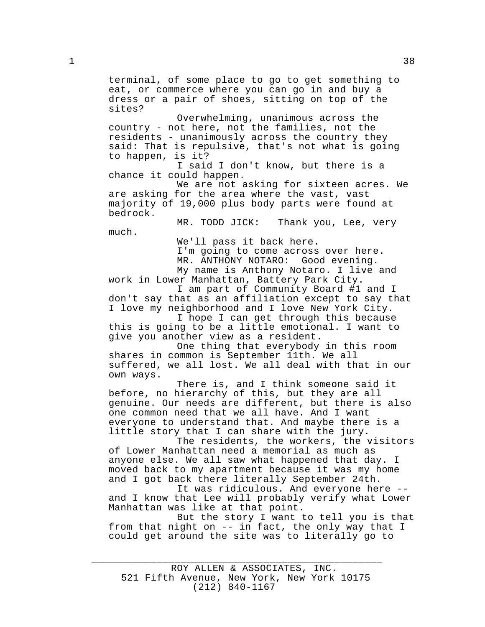terminal, of some place to go to get something to eat, or commerce where you can go in and buy a dress or a pair of shoes, sitting on top of the sites?

Overwhelming, unanimous across the country - not here, not the families, not the residents - unanimously across the country they said: That is repulsive, that's not what is going to happen, is it?

I said I don't know, but there is a chance it could happen.

We are not asking for sixteen acres. We are asking for the area where the vast, vast majority of 19,000 plus body parts were found at bedrock.

MR. TODD JICK: Thank you, Lee, very much.

We'll pass it back here.

I'm going to come across over here.

MR. ANTHONY NOTARO: Good evening.

My name is Anthony Notaro. I live and work in Lower Manhattan, Battery Park City.

I am part of Community Board #1 and I don't say that as an affiliation except to say that I love my neighborhood and I love New York City.

I hope I can get through this because this is going to be a little emotional. I want to give you another view as a resident.

One thing that everybody in this room shares in common is September 11th. We all suffered, we all lost. We all deal with that in our own ways.

There is, and I think someone said it before, no hierarchy of this, but they are all genuine. Our needs are different, but there is also one common need that we all have. And I want everyone to understand that. And maybe there is a little story that I can share with the jury.

The residents, the workers, the visitors of Lower Manhattan need a memorial as much as anyone else. We all saw what happened that day. I moved back to my apartment because it was my home and I got back there literally September 24th.

It was ridiculous. And everyone here - and I know that Lee will probably verify what Lower Manhattan was like at that point.

But the story I want to tell you is that from that night on -- in fact, the only way that I could get around the site was to literally go to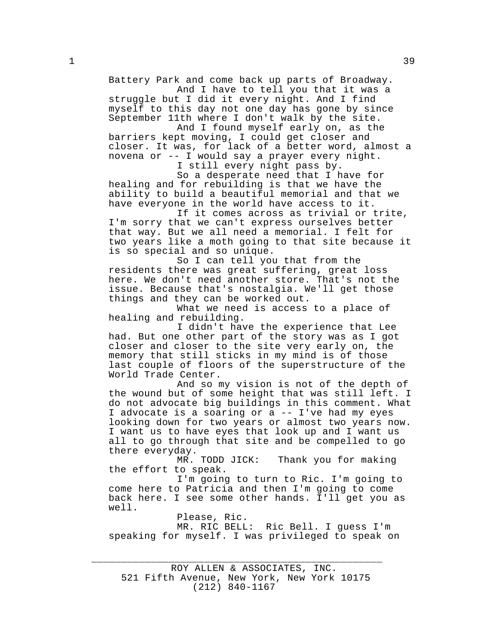Battery Park and come back up parts of Broadway.

And I have to tell you that it was a struggle but I did it every night. And I find myself to this day not one day has gone by since September 11th where I don't walk by the site.

And I found myself early on, as the barriers kept moving, I could get closer and closer. It was, for lack of a better word, almost a novena or -- I would say a prayer every night. I still every night pass by.

So a desperate need that I have for healing and for rebuilding is that we have the ability to build a beautiful memorial and that we

have everyone in the world have access to it. If it comes across as trivial or trite,

I'm sorry that we can't express ourselves better that way. But we all need a memorial. I felt for two years like a moth going to that site because it is so special and so unique.

So I can tell you that from the residents there was great suffering, great loss here. We don't need another store. That's not the issue. Because that's nostalgia. We'll get those things and they can be worked out.

What we need is access to a place of healing and rebuilding.

I didn't have the experience that Lee had. But one other part of the story was as I got closer and closer to the site very early on, the memory that still sticks in my mind is of those last couple of floors of the superstructure of the World Trade Center.

And so my vision is not of the depth of the wound but of some height that was still left. I do not advocate big buildings in this comment. What I advocate is a soaring or a -- I've had my eyes looking down for two years or almost two years now. I want us to have eyes that look up and I want us all to go through that site and be compelled to go there everyday.

MR. TODD JICK: Thank you for making the effort to speak.

I'm going to turn to Ric. I'm going to come here to Patricia and then I'm going to come back here. I see some other hands. I'll get you as well.

Please, Ric.

MR. RIC BELL: Ric Bell. I guess I'm speaking for myself. I was privileged to speak on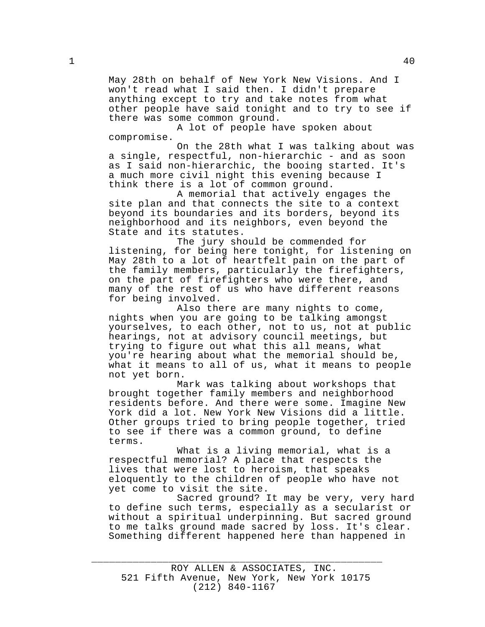May 28th on behalf of New York New Visions. And I won't read what I said then. I didn't prepare anything except to try and take notes from what other people have said tonight and to try to see if there was some common ground.

A lot of people have spoken about compromise.

On the 28th what I was talking about was a single, respectful, non-hierarchic - and as soon as I said non-hierarchic, the booing started. It's a much more civil night this evening because I think there is a lot of common ground.

A memorial that actively engages the site plan and that connects the site to a context beyond its boundaries and its borders, beyond its neighborhood and its neighbors, even beyond the State and its statutes.

The jury should be commended for listening, for being here tonight, for listening on May 28th to a lot of heartfelt pain on the part of the family members, particularly the firefighters, on the part of firefighters who were there, and many of the rest of us who have different reasons for being involved.

Also there are many nights to come, nights when you are going to be talking amongst yourselves, to each other, not to us, not at public hearings, not at advisory council meetings, but trying to figure out what this all means, what you're hearing about what the memorial should be, what it means to all of us, what it means to people not yet born.

Mark was talking about workshops that brought together family members and neighborhood residents before. And there were some. Imagine New York did a lot. New York New Visions did a little. Other groups tried to bring people together, tried to see if there was a common ground, to define terms.

What is a living memorial, what is a respectful memorial? A place that respects the lives that were lost to heroism, that speaks eloquently to the children of people who have not yet come to visit the site.

Sacred ground? It may be very, very hard to define such terms, especially as a secularist or without a spiritual underpinning. But sacred ground to me talks ground made sacred by loss. It's clear. Something different happened here than happened in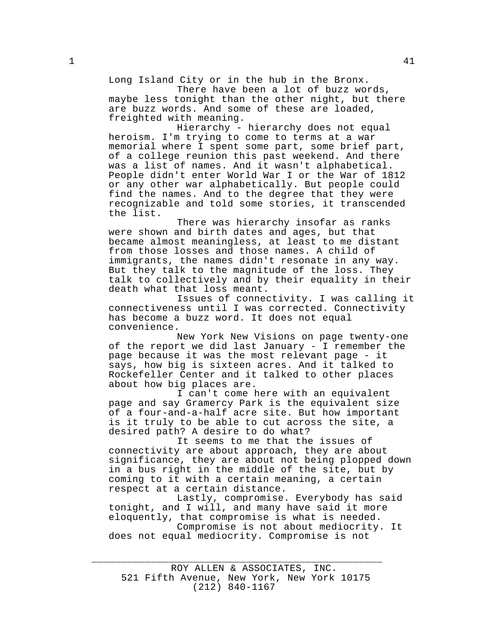Long Island City or in the hub in the Bronx.

There have been a lot of buzz words, maybe less tonight than the other night, but there are buzz words. And some of these are loaded, freighted with meaning.

Hierarchy - hierarchy does not equal heroism. I'm trying to come to terms at a war memorial where I spent some part, some brief part, of a college reunion this past weekend. And there was a list of names. And it wasn't alphabetical. People didn't enter World War I or the War of 1812 or any other war alphabetically. But people could find the names. And to the degree that they were recognizable and told some stories, it transcended the list.

There was hierarchy insofar as ranks were shown and birth dates and ages, but that became almost meaningless, at least to me distant from those losses and those names. A child of immigrants, the names didn't resonate in any way. But they talk to the magnitude of the loss. They talk to collectively and by their equality in their death what that loss meant.

Issues of connectivity. I was calling it connectiveness until I was corrected. Connectivity has become a buzz word. It does not equal convenience.

New York New Visions on page twenty-one of the report we did last January - I remember the page because it was the most relevant page - it says, how big is sixteen acres. And it talked to Rockefeller Center and it talked to other places about how big places are.

I can't come here with an equivalent page and say Gramercy Park is the equivalent size of a four-and-a-half acre site. But how important is it truly to be able to cut across the site, a desired path? A desire to do what?

It seems to me that the issues of connectivity are about approach, they are about significance, they are about not being plopped down in a bus right in the middle of the site, but by coming to it with a certain meaning, a certain respect at a certain distance.

Lastly, compromise. Everybody has said tonight, and I will, and many have said it more eloquently, that compromise is what is needed.

Compromise is not about mediocrity. It does not equal mediocrity. Compromise is not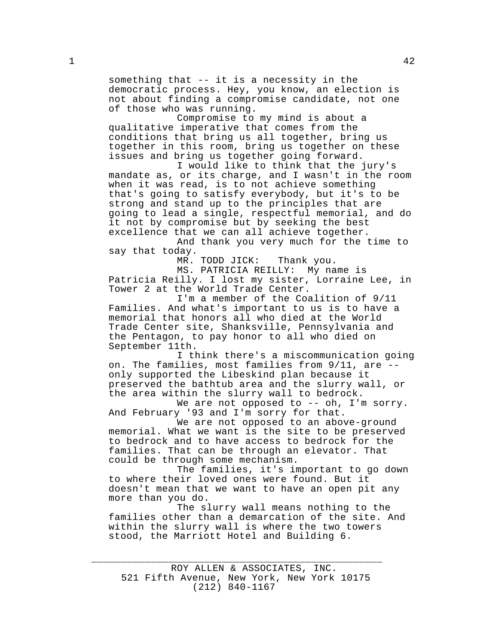something that -- it is a necessity in the democratic process. Hey, you know, an election is not about finding a compromise candidate, not one of those who was running.

Compromise to my mind is about a qualitative imperative that comes from the conditions that bring us all together, bring us together in this room, bring us together on these issues and bring us together going forward.

I would like to think that the jury's mandate as, or its charge, and I wasn't in the room when it was read, is to not achieve something that's going to satisfy everybody, but it's to be strong and stand up to the principles that are going to lead a single, respectful memorial, and do it not by compromise but by seeking the best excellence that we can all achieve together.

And thank you very much for the time to say that today.

MR. TODD JICK: Thank you.

MS. PATRICIA REILLY: My name is

Patricia Reilly. I lost my sister, Lorraine Lee, in Tower 2 at the World Trade Center.

I'm a member of the Coalition of 9/11 Families. And what's important to us is to have a memorial that honors all who died at the World Trade Center site, Shanksville, Pennsylvania and the Pentagon, to pay honor to all who died on September 11th.

I think there's a miscommunication going on. The families, most families from 9/11, are - only supported the Libeskind plan because it preserved the bathtub area and the slurry wall, or the area within the slurry wall to bedrock.

We are not opposed to -- oh, I'm sorry. And February '93 and I'm sorry for that.

We are not opposed to an above-ground memorial. What we want is the site to be preserved to bedrock and to have access to bedrock for the families. That can be through an elevator. That could be through some mechanism.

The families, it's important to go down to where their loved ones were found. But it doesn't mean that we want to have an open pit any more than you do.

The slurry wall means nothing to the families other than a demarcation of the site. And within the slurry wall is where the two towers stood, the Marriott Hotel and Building 6.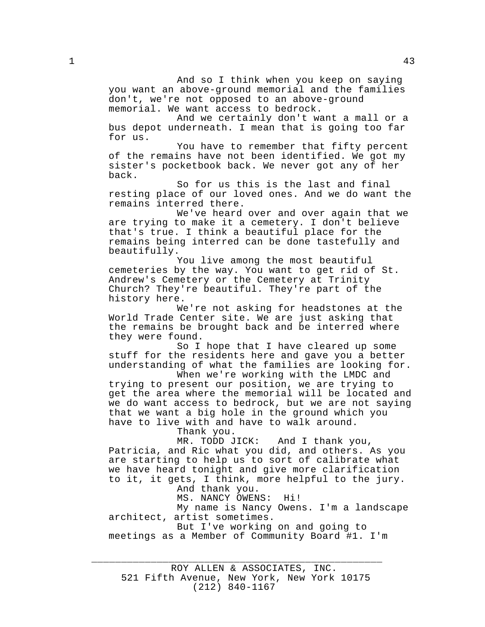And so I think when you keep on saying you want an above-ground memorial and the families don't, we're not opposed to an above-ground memorial. We want access to bedrock.

And we certainly don't want a mall or a bus depot underneath. I mean that is going too far for us.

You have to remember that fifty percent of the remains have not been identified. We got my sister's pocketbook back. We never got any of her back.

So for us this is the last and final resting place of our loved ones. And we do want the remains interred there.

We've heard over and over again that we are trying to make it a cemetery. I don't believe that's true. I think a beautiful place for the remains being interred can be done tastefully and beautifully.

You live among the most beautiful cemeteries by the way. You want to get rid of St. Andrew's Cemetery or the Cemetery at Trinity Church? They're beautiful. They're part of the history here.

We're not asking for headstones at the World Trade Center site. We are just asking that the remains be brought back and be interred where they were found.

So I hope that I have cleared up some stuff for the residents here and gave you a better understanding of what the families are looking for. When we're working with the LMDC and

trying to present our position, we are trying to get the area where the memorial will be located and we do want access to bedrock, but we are not saying that we want a big hole in the ground which you have to live with and have to walk around.

Thank you.

MR. TODD JICK: And I thank you,

Patricia, and Ric what you did, and others. As you are starting to help us to sort of calibrate what we have heard tonight and give more clarification to it, it gets, I think, more helpful to the jury.

And thank you.

MS. NANCY OWENS: Hi!

My name is Nancy Owens. I'm a landscape architect, artist sometimes.

But I've working on and going to meetings as a Member of Community Board #1. I'm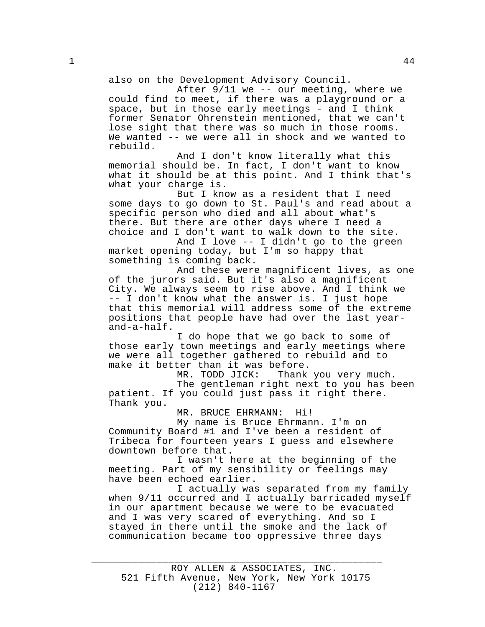also on the Development Advisory Council.

After 9/11 we -- our meeting, where we could find to meet, if there was a playground or a space, but in those early meetings - and I think former Senator Ohrenstein mentioned, that we can't lose sight that there was so much in those rooms. We wanted -- we were all in shock and we wanted to rebuild.

And I don't know literally what this memorial should be. In fact, I don't want to know what it should be at this point. And I think that's what your charge is.

But I know as a resident that I need some days to go down to St. Paul's and read about a specific person who died and all about what's there. But there are other days where I need a choice and I don't want to walk down to the site.

And I love -- I didn't go to the green market opening today, but I'm so happy that something is coming back.

And these were magnificent lives, as one of the jurors said. But it's also a magnificent City. We always seem to rise above. And I think we -- I don't know what the answer is. I just hope that this memorial will address some of the extreme positions that people have had over the last yearand-a-half.

I do hope that we go back to some of those early town meetings and early meetings where we were all together gathered to rebuild and to make it better than it was before.<br>MR. TODD JICK: Thank

Thank you very much.

The gentleman right next to you has been patient. If you could just pass it right there. Thank you.

MR. BRUCE EHRMANN: Hi!

My name is Bruce Ehrmann. I'm on Community Board #1 and I've been a resident of Tribeca for fourteen years I guess and elsewhere downtown before that.

I wasn't here at the beginning of the meeting. Part of my sensibility or feelings may have been echoed earlier.

I actually was separated from my family when 9/11 occurred and I actually barricaded myself in our apartment because we were to be evacuated and I was very scared of everything. And so I stayed in there until the smoke and the lack of communication became too oppressive three days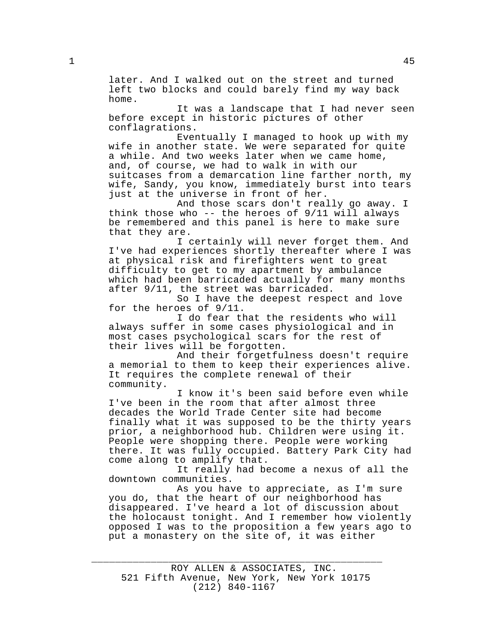later. And I walked out on the street and turned left two blocks and could barely find my way back home.

It was a landscape that I had never seen before except in historic pictures of other conflagrations.

Eventually I managed to hook up with my wife in another state. We were separated for quite a while. And two weeks later when we came home, and, of course, we had to walk in with our suitcases from a demarcation line farther north, my wife, Sandy, you know, immediately burst into tears just at the universe in front of her.

And those scars don't really go away. I think those who -- the heroes of 9/11 will always be remembered and this panel is here to make sure that they are.

I certainly will never forget them. And I've had experiences shortly thereafter where I was at physical risk and firefighters went to great difficulty to get to my apartment by ambulance which had been barricaded actually for many months after 9/11, the street was barricaded.

So I have the deepest respect and love for the heroes of 9/11.

I do fear that the residents who will always suffer in some cases physiological and in most cases psychological scars for the rest of their lives will be forgotten.

And their forgetfulness doesn't require a memorial to them to keep their experiences alive. It requires the complete renewal of their community.

I know it's been said before even while I've been in the room that after almost three decades the World Trade Center site had become finally what it was supposed to be the thirty years prior, a neighborhood hub. Children were using it. People were shopping there. People were working there. It was fully occupied. Battery Park City had come along to amplify that.

It really had become a nexus of all the downtown communities.

As you have to appreciate, as I'm sure you do, that the heart of our neighborhood has disappeared. I've heard a lot of discussion about the holocaust tonight. And I remember how violently opposed I was to the proposition a few years ago to put a monastery on the site of, it was either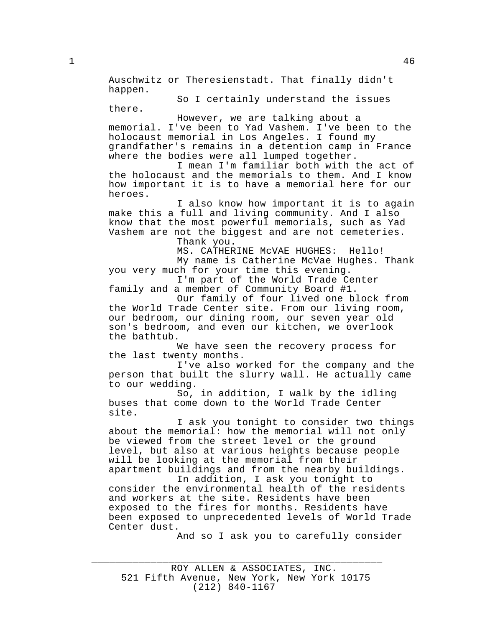Auschwitz or Theresienstadt. That finally didn't happen.

So I certainly understand the issues there.

However, we are talking about a memorial. I've been to Yad Vashem. I've been to the holocaust memorial in Los Angeles. I found my grandfather's remains in a detention camp in France where the bodies were all lumped together.

I mean I'm familiar both with the act of the holocaust and the memorials to them. And I know how important it is to have a memorial here for our heroes.

I also know how important it is to again make this a full and living community. And I also know that the most powerful memorials, such as Yad Vashem are not the biggest and are not cemeteries.

Thank you.

MS. CATHERINE McVAE HUGHES: Hello!

My name is Catherine McVae Hughes. Thank you very much for your time this evening.

I'm part of the World Trade Center family and a member of Community Board #1.

Our family of four lived one block from the World Trade Center site. From our living room, our bedroom, our dining room, our seven year old son's bedroom, and even our kitchen, we overlook the bathtub.

We have seen the recovery process for the last twenty months.

I've also worked for the company and the person that built the slurry wall. He actually came to our wedding.

So, in addition, I walk by the idling buses that come down to the World Trade Center site.

I ask you tonight to consider two things about the memorial: how the memorial will not only be viewed from the street level or the ground level, but also at various heights because people will be looking at the memorial from their apartment buildings and from the nearby buildings.

In addition, I ask you tonight to consider the environmental health of the residents and workers at the site. Residents have been exposed to the fires for months. Residents have been exposed to unprecedented levels of World Trade Center dust.

And so I ask you to carefully consider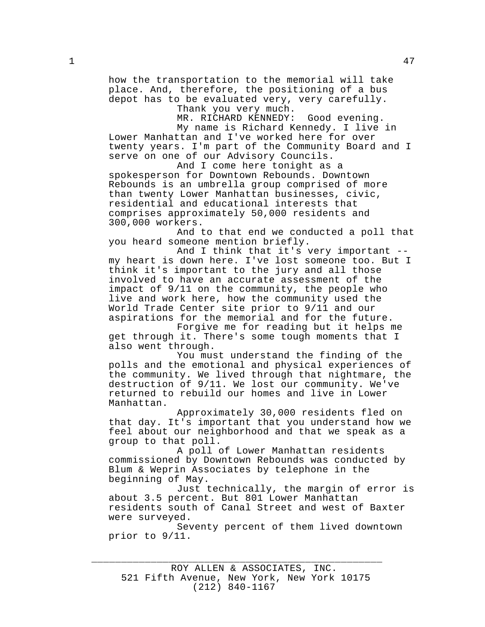depot has to be evaluated very, very carefully. Thank you very much.

MR. RICHARD KENNEDY: Good evening.

My name is Richard Kennedy. I live in Lower Manhattan and I've worked here for over twenty years. I'm part of the Community Board and I serve on one of our Advisory Councils.

And I come here tonight as a spokesperson for Downtown Rebounds. Downtown Rebounds is an umbrella group comprised of more than twenty Lower Manhattan businesses, civic, residential and educational interests that comprises approximately 50,000 residents and 300,000 workers.

And to that end we conducted a poll that you heard someone mention briefly.

And I think that it's very important - my heart is down here. I've lost someone too. But I think it's important to the jury and all those involved to have an accurate assessment of the impact of 9/11 on the community, the people who live and work here, how the community used the World Trade Center site prior to 9/11 and our aspirations for the memorial and for the future.

Forgive me for reading but it helps me get through it. There's some tough moments that I also went through.

You must understand the finding of the polls and the emotional and physical experiences of the community. We lived through that nightmare, the destruction of 9/11. We lost our community. We've returned to rebuild our homes and live in Lower Manhattan.

Approximately 30,000 residents fled on that day. It's important that you understand how we feel about our neighborhood and that we speak as a group to that poll.

A poll of Lower Manhattan residents commissioned by Downtown Rebounds was conducted by Blum & Weprin Associates by telephone in the beginning of May.

Just technically, the margin of error is about 3.5 percent. But 801 Lower Manhattan residents south of Canal Street and west of Baxter were surveyed.

Seventy percent of them lived downtown prior to 9/11.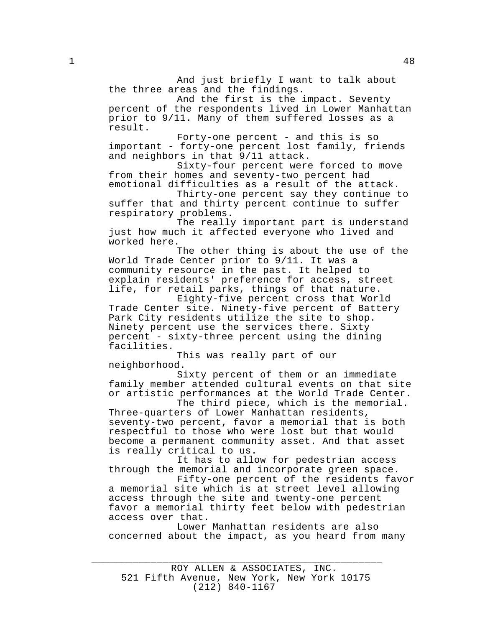And just briefly I want to talk about the three areas and the findings.

And the first is the impact. Seventy percent of the respondents lived in Lower Manhattan prior to 9/11. Many of them suffered losses as a result.

Forty-one percent - and this is so important - forty-one percent lost family, friends and neighbors in that 9/11 attack.

Sixty-four percent were forced to move from their homes and seventy-two percent had emotional difficulties as a result of the attack.

Thirty-one percent say they continue to suffer that and thirty percent continue to suffer respiratory problems.

The really important part is understand just how much it affected everyone who lived and worked here.

The other thing is about the use of the World Trade Center prior to 9/11. It was a community resource in the past. It helped to explain residents' preference for access, street life, for retail parks, things of that nature.

Eighty-five percent cross that World Trade Center site. Ninety-five percent of Battery Park City residents utilize the site to shop. Ninety percent use the services there. Sixty percent - sixty-three percent using the dining facilities.

This was really part of our neighborhood.

Sixty percent of them or an immediate family member attended cultural events on that site or artistic performances at the World Trade Center.

The third piece, which is the memorial. Three-quarters of Lower Manhattan residents, seventy-two percent, favor a memorial that is both respectful to those who were lost but that would become a permanent community asset. And that asset is really critical to us.

It has to allow for pedestrian access through the memorial and incorporate green space.

Fifty-one percent of the residents favor a memorial site which is at street level allowing access through the site and twenty-one percent favor a memorial thirty feet below with pedestrian access over that.

Lower Manhattan residents are also concerned about the impact, as you heard from many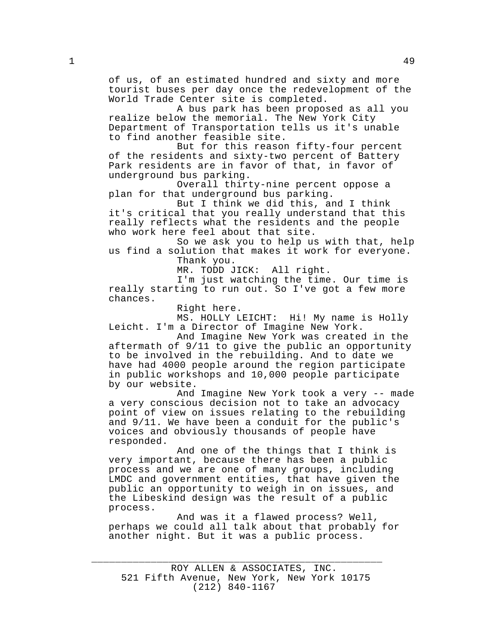of us, of an estimated hundred and sixty and more tourist buses per day once the redevelopment of the World Trade Center site is completed.

A bus park has been proposed as all you realize below the memorial. The New York City Department of Transportation tells us it's unable to find another feasible site.

But for this reason fifty-four percent of the residents and sixty-two percent of Battery Park residents are in favor of that, in favor of underground bus parking.

Overall thirty-nine percent oppose a plan for that underground bus parking.

But I think we did this, and I think it's critical that you really understand that this really reflects what the residents and the people who work here feel about that site.

So we ask you to help us with that, help us find a solution that makes it work for everyone. Thank you.

MR. TODD JICK: All right.

I'm just watching the time. Our time is really starting to run out. So I've got a few more chances.

Right here.

MS. HOLLY LEICHT: Hi! My name is Holly Leicht. I'm a Director of Imagine New York.

And Imagine New York was created in the aftermath of 9/11 to give the public an opportunity to be involved in the rebuilding. And to date we have had 4000 people around the region participate in public workshops and 10,000 people participate by our website.

And Imagine New York took a very -- made a very conscious decision not to take an advocacy point of view on issues relating to the rebuilding and 9/11. We have been a conduit for the public's voices and obviously thousands of people have responded.

And one of the things that I think is very important, because there has been a public process and we are one of many groups, including LMDC and government entities, that have given the public an opportunity to weigh in on issues, and the Libeskind design was the result of a public process.

And was it a flawed process? Well, perhaps we could all talk about that probably for another night. But it was a public process.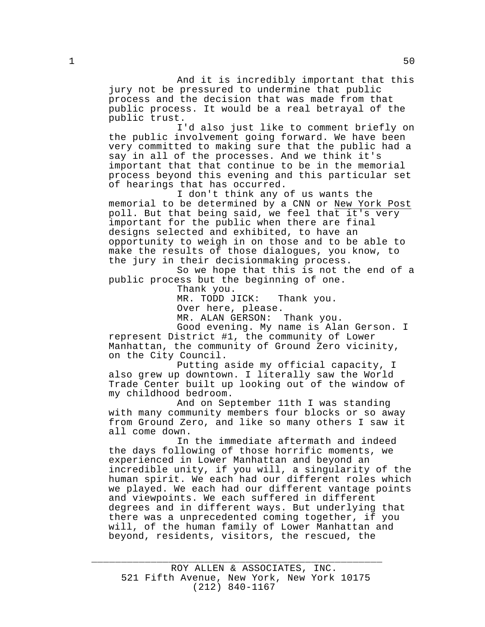And it is incredibly important that this jury not be pressured to undermine that public process and the decision that was made from that public process. It would be a real betrayal of the public trust.

I'd also just like to comment briefly on the public involvement going forward. We have been very committed to making sure that the public had a say in all of the processes. And we think it's important that that continue to be in the memorial process beyond this evening and this particular set of hearings that has occurred.

I don't think any of us wants the memorial to be determined by a CNN or New York Post poll. But that being said, we feel that it's very important for the public when there are final designs selected and exhibited, to have an opportunity to weigh in on those and to be able to make the results of those dialogues, you know, to the jury in their decisionmaking process.

So we hope that this is not the end of a public process but the beginning of one.

Thank you.

MR. TODD JICK: Thank you.

Over here, please.<br>MR. ALAN GERSON: Thank you. MR. ALAN GERSON:

Good evening. My name is Alan Gerson. I represent District #1, the community of Lower Manhattan, the community of Ground Zero vicinity, on the City Council.

Putting aside my official capacity, I also grew up downtown. I literally saw the World Trade Center built up looking out of the window of my childhood bedroom.

And on September 11th I was standing with many community members four blocks or so away from Ground Zero, and like so many others I saw it all come down.

In the immediate aftermath and indeed the days following of those horrific moments, we experienced in Lower Manhattan and beyond an incredible unity, if you will, a singularity of the human spirit. We each had our different roles which we played. We each had our different vantage points and viewpoints. We each suffered in different degrees and in different ways. But underlying that there was a unprecedented coming together, if you will, of the human family of Lower Manhattan and beyond, residents, visitors, the rescued, the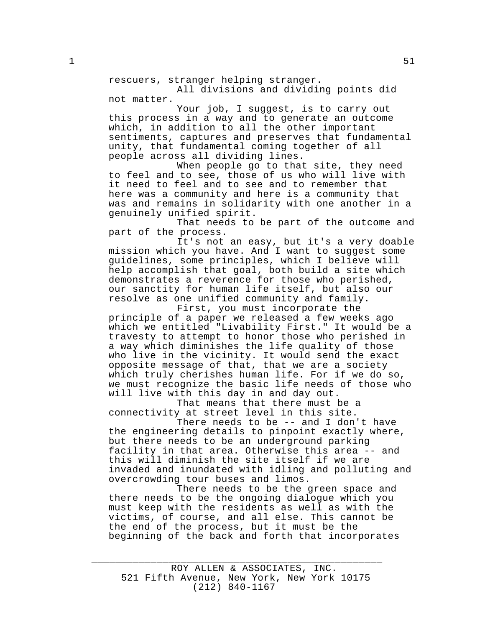rescuers, stranger helping stranger.

All divisions and dividing points did not matter.

Your job, I suggest, is to carry out this process in a way and to generate an outcome which, in addition to all the other important sentiments, captures and preserves that fundamental unity, that fundamental coming together of all people across all dividing lines.

When people go to that site, they need to feel and to see, those of us who will live with it need to feel and to see and to remember that here was a community and here is a community that was and remains in solidarity with one another in a genuinely unified spirit.

That needs to be part of the outcome and part of the process.

It's not an easy, but it's a very doable mission which you have. And I want to suggest some guidelines, some principles, which I believe will help accomplish that goal, both build a site which demonstrates a reverence for those who perished, our sanctity for human life itself, but also our resolve as one unified community and family.

First, you must incorporate the principle of a paper we released a few weeks ago which we entitled "Livability First." It would be a travesty to attempt to honor those who perished in a way which diminishes the life quality of those who live in the vicinity. It would send the exact opposite message of that, that we are a society which truly cherishes human life. For if we do so, we must recognize the basic life needs of those who will live with this day in and day out.

That means that there must be a connectivity at street level in this site.

There needs to be -- and I don't have the engineering details to pinpoint exactly where, but there needs to be an underground parking facility in that area. Otherwise this area -- and this will diminish the site itself if we are invaded and inundated with idling and polluting and overcrowding tour buses and limos.

There needs to be the green space and there needs to be the ongoing dialogue which you must keep with the residents as well as with the victims, of course, and all else. This cannot be the end of the process, but it must be the beginning of the back and forth that incorporates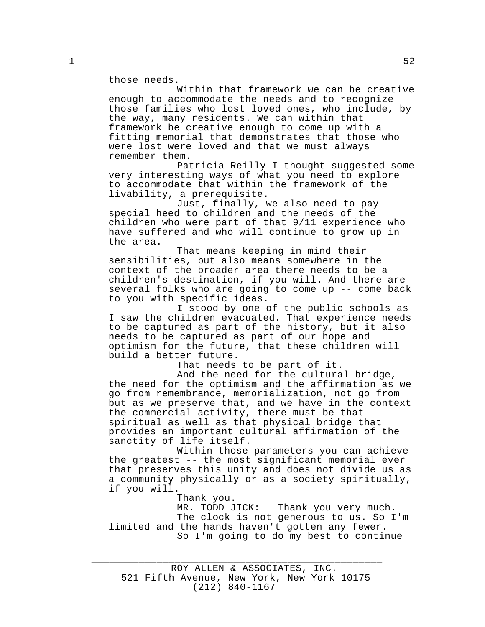those needs.

Within that framework we can be creative enough to accommodate the needs and to recognize those families who lost loved ones, who include, by the way, many residents. We can within that framework be creative enough to come up with a fitting memorial that demonstrates that those who were lost were loved and that we must always remember them.

Patricia Reilly I thought suggested some very interesting ways of what you need to explore to accommodate that within the framework of the livability, a prerequisite.

Just, finally, we also need to pay special heed to children and the needs of the children who were part of that 9/11 experience who have suffered and who will continue to grow up in the area.

That means keeping in mind their sensibilities, but also means somewhere in the context of the broader area there needs to be a children's destination, if you will. And there are several folks who are going to come up -- come back to you with specific ideas.

I stood by one of the public schools as I saw the children evacuated. That experience needs to be captured as part of the history, but it also needs to be captured as part of our hope and optimism for the future, that these children will build a better future.

That needs to be part of it.

And the need for the cultural bridge, the need for the optimism and the affirmation as we go from remembrance, memorialization, not go from but as we preserve that, and we have in the context the commercial activity, there must be that spiritual as well as that physical bridge that provides an important cultural affirmation of the sanctity of life itself.

Within those parameters you can achieve the greatest -- the most significant memorial ever that preserves this unity and does not divide us as a community physically or as a society spiritually, if you will.

Thank you.

MR. TODD JICK: Thank you very much. The clock is not generous to us. So I'm limited and the hands haven't gotten any fewer. So I'm going to do my best to continue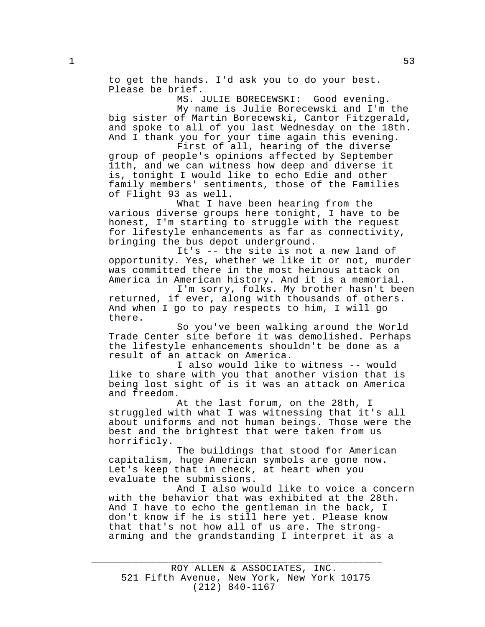to get the hands. I'd ask you to do your best. Please be brief.

MS. JULIE BORECEWSKI: Good evening.

My name is Julie Borecewski and I'm the big sister of Martin Borecewski, Cantor Fitzgerald, and spoke to all of you last Wednesday on the 18th. And I thank you for your time again this evening.

First of all, hearing of the diverse group of people's opinions affected by September 11th, and we can witness how deep and diverse it is, tonight I would like to echo Edie and other family members' sentiments, those of the Families of Flight 93 as well.

What I have been hearing from the various diverse groups here tonight, I have to be honest, I'm starting to struggle with the request for lifestyle enhancements as far as connectivity, bringing the bus depot underground.

It's -- the site is not a new land of opportunity. Yes, whether we like it or not, murder was committed there in the most heinous attack on America in American history. And it is a memorial.

I'm sorry, folks. My brother hasn't been returned, if ever, along with thousands of others. And when I go to pay respects to him, I will go there.

So you've been walking around the World Trade Center site before it was demolished. Perhaps the lifestyle enhancements shouldn't be done as a result of an attack on America.

I also would like to witness -- would like to share with you that another vision that is being lost sight of is it was an attack on America and freedom.

At the last forum, on the 28th, I struggled with what I was witnessing that it's all about uniforms and not human beings. Those were the best and the brightest that were taken from us horrificly.

The buildings that stood for American capitalism, huge American symbols are gone now. Let's keep that in check, at heart when you evaluate the submissions.

And I also would like to voice a concern with the behavior that was exhibited at the 28th. And I have to echo the gentleman in the back, I don't know if he is still here yet. Please know that that's not how all of us are. The strongarming and the grandstanding I interpret it as a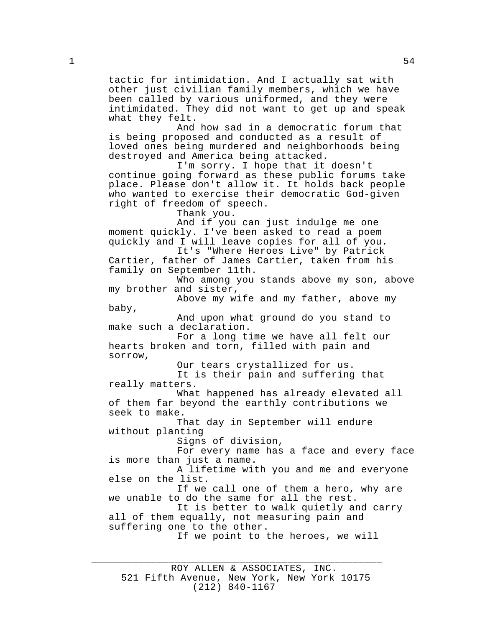$1 \hspace{2.5cm} 54$ 

tactic for intimidation. And I actually sat with other just civilian family members, which we have been called by various uniformed, and they were intimidated. They did not want to get up and speak what they felt.

And how sad in a democratic forum that is being proposed and conducted as a result of loved ones being murdered and neighborhoods being destroyed and America being attacked.

I'm sorry. I hope that it doesn't continue going forward as these public forums take place. Please don't allow it. It holds back people who wanted to exercise their democratic God-given right of freedom of speech.

Thank you.

And if you can just indulge me one moment quickly. I've been asked to read a poem quickly and I will leave copies for all of you.

It's "Where Heroes Live" by Patrick Cartier, father of James Cartier, taken from his family on September 11th.

Who among you stands above my son, above my brother and sister,

Above my wife and my father, above my baby,

And upon what ground do you stand to make such a declaration.

For a long time we have all felt our hearts broken and torn, filled with pain and sorrow,

Our tears crystallized for us.

It is their pain and suffering that really matters.

What happened has already elevated all of them far beyond the earthly contributions we seek to make.

That day in September will endure without planting

Signs of division,

For every name has a face and every face is more than just a name.

A lifetime with you and me and everyone else on the list.

If we call one of them a hero, why are we unable to do the same for all the rest.

It is better to walk quietly and carry all of them equally, not measuring pain and suffering one to the other.

If we point to the heroes, we will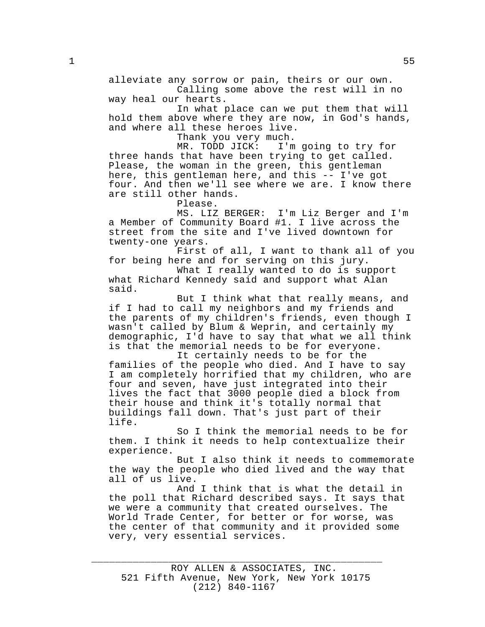alleviate any sorrow or pain, theirs or our own.

Calling some above the rest will in no way heal our hearts.

In what place can we put them that will hold them above where they are now, in God's hands, and where all these heroes live.

Thank you very much.<br>MR. TODD JICK: I'm I'm going to try for three hands that have been trying to get called. Please, the woman in the green, this gentleman here, this gentleman here, and this -- I've got four. And then we'll see where we are. I know there are still other hands.

Please.<br>MS. LIZ BERGER: I'm Liz Berger and I'm a Member of Community Board #1. I live across the street from the site and I've lived downtown for twenty-one years.

First of all, I want to thank all of you for being here and for serving on this jury.

What I really wanted to do is support what Richard Kennedy said and support what Alan said.

But I think what that really means, and if I had to call my neighbors and my friends and the parents of my children's friends, even though I wasn't called by Blum & Weprin, and certainly my demographic, I'd have to say that what we all think is that the memorial needs to be for everyone.

It certainly needs to be for the families of the people who died. And I have to say I am completely horrified that my children, who are four and seven, have just integrated into their lives the fact that 3000 people died a block from their house and think it's totally normal that buildings fall down. That's just part of their life.

So I think the memorial needs to be for them. I think it needs to help contextualize their experience.

But I also think it needs to commemorate the way the people who died lived and the way that all of us live.

And I think that is what the detail in the poll that Richard described says. It says that we were a community that created ourselves. The World Trade Center, for better or for worse, was the center of that community and it provided some very, very essential services.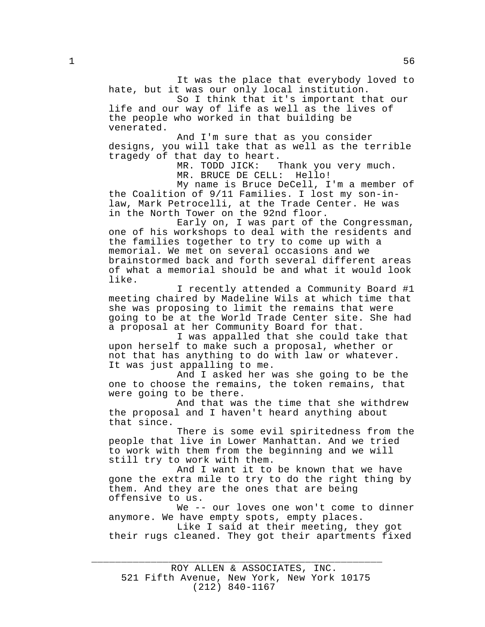It was the place that everybody loved to hate, but it was our only local institution.

So I think that it's important that our life and our way of life as well as the lives of the people who worked in that building be venerated.

And I'm sure that as you consider designs, you will take that as well as the terrible tragedy of that day to heart.<br>MR. TODD JICK:

Thank you very much. MR. BRUCE DE CELL: Hello!

My name is Bruce DeCell, I'm a member of the Coalition of 9/11 Families. I lost my son-inlaw, Mark Petrocelli, at the Trade Center. He was in the North Tower on the 92nd floor.

Early on, I was part of the Congressman, one of his workshops to deal with the residents and the families together to try to come up with a memorial. We met on several occasions and we brainstormed back and forth several different areas of what a memorial should be and what it would look like.

I recently attended a Community Board #1 meeting chaired by Madeline Wils at which time that she was proposing to limit the remains that were going to be at the World Trade Center site. She had a proposal at her Community Board for that.

I was appalled that she could take that upon herself to make such a proposal, whether or not that has anything to do with law or whatever. It was just appalling to me.

And I asked her was she going to be the one to choose the remains, the token remains, that were going to be there.

And that was the time that she withdrew the proposal and I haven't heard anything about that since.

There is some evil spiritedness from the people that live in Lower Manhattan. And we tried to work with them from the beginning and we will still try to work with them.

And I want it to be known that we have gone the extra mile to try to do the right thing by them. And they are the ones that are being offensive to us.

We -- our loves one won't come to dinner anymore. We have empty spots, empty places.

Like I said at their meeting, they got their rugs cleaned. They got their apartments fixed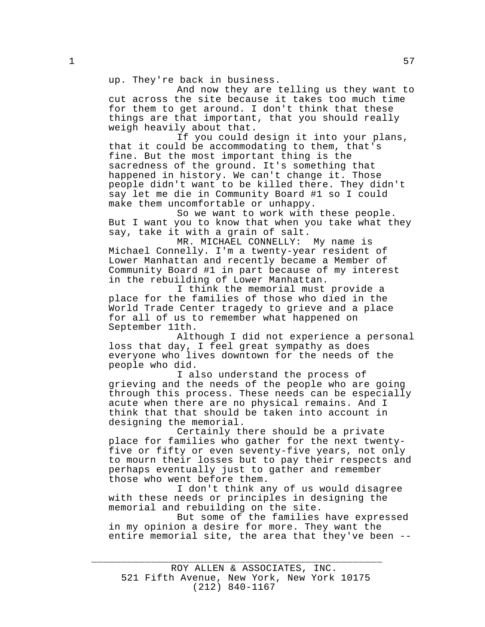up. They're back in business.

And now they are telling us they want to cut across the site because it takes too much time for them to get around. I don't think that these things are that important, that you should really weigh heavily about that.

If you could design it into your plans, that it could be accommodating to them, that's fine. But the most important thing is the sacredness of the ground. It's something that happened in history. We can't change it. Those people didn't want to be killed there. They didn't say let me die in Community Board #1 so I could make them uncomfortable or unhappy.

So we want to work with these people. But I want you to know that when you take what they say, take it with a grain of salt.

MR. MICHAEL CONNELLY: My name is Michael Connelly. I'm a twenty-year resident of Lower Manhattan and recently became a Member of Community Board #1 in part because of my interest in the rebuilding of Lower Manhattan.

I think the memorial must provide a place for the families of those who died in the World Trade Center tragedy to grieve and a place for all of us to remember what happened on September 11th.

Although I did not experience a personal loss that day, I feel great sympathy as does everyone who lives downtown for the needs of the people who did.

I also understand the process of grieving and the needs of the people who are going through this process. These needs can be especially acute when there are no physical remains. And I think that that should be taken into account in designing the memorial.

Certainly there should be a private place for families who gather for the next twentyfive or fifty or even seventy-five years, not only to mourn their losses but to pay their respects and perhaps eventually just to gather and remember those who went before them.

I don't think any of us would disagree with these needs or principles in designing the memorial and rebuilding on the site.

But some of the families have expressed in my opinion a desire for more. They want the entire memorial site, the area that they've been --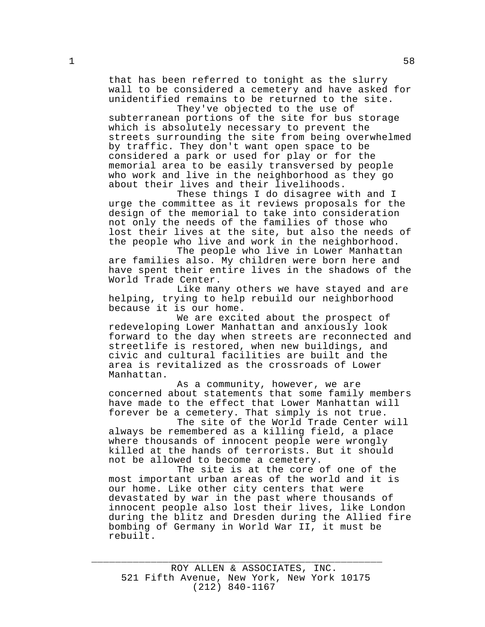that has been referred to tonight as the slurry wall to be considered a cemetery and have asked for unidentified remains to be returned to the site. They've objected to the use of

subterranean portions of the site for bus storage which is absolutely necessary to prevent the streets surrounding the site from being overwhelmed by traffic. They don't want open space to be considered a park or used for play or for the memorial area to be easily transversed by people who work and live in the neighborhood as they go about their lives and their livelihoods.

These things I do disagree with and I urge the committee as it reviews proposals for the design of the memorial to take into consideration not only the needs of the families of those who lost their lives at the site, but also the needs of the people who live and work in the neighborhood.

The people who live in Lower Manhattan are families also. My children were born here and have spent their entire lives in the shadows of the World Trade Center.

Like many others we have stayed and are helping, trying to help rebuild our neighborhood because it is our home.

We are excited about the prospect of redeveloping Lower Manhattan and anxiously look forward to the day when streets are reconnected and streetlife is restored, when new buildings, and civic and cultural facilities are built and the area is revitalized as the crossroads of Lower Manhattan.

As a community, however, we are concerned about statements that some family members have made to the effect that Lower Manhattan will forever be a cemetery. That simply is not true.

The site of the World Trade Center will always be remembered as a killing field, a place where thousands of innocent people were wrongly killed at the hands of terrorists. But it should not be allowed to become a cemetery.

The site is at the core of one of the most important urban areas of the world and it is our home. Like other city centers that were devastated by war in the past where thousands of innocent people also lost their lives, like London during the blitz and Dresden during the Allied fire bombing of Germany in World War II, it must be rebuilt.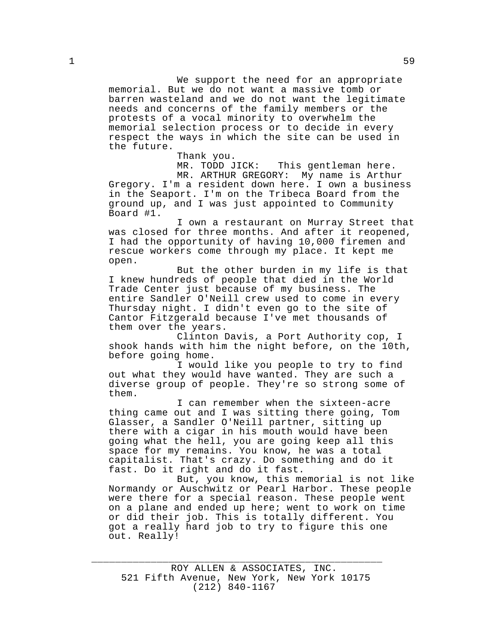We support the need for an appropriate memorial. But we do not want a massive tomb or barren wasteland and we do not want the legitimate needs and concerns of the family members or the protests of a vocal minority to overwhelm the memorial selection process or to decide in every respect the ways in which the site can be used in the future.

Thank you.<br>MR. TODD JICK: This gentleman here.

MR. ARTHUR GREGORY: My name is Arthur Gregory. I'm a resident down here. I own a business in the Seaport. I'm on the Tribeca Board from the ground up, and I was just appointed to Community Board #1.

I own a restaurant on Murray Street that was closed for three months. And after it reopened, I had the opportunity of having 10,000 firemen and rescue workers come through my place. It kept me open.

But the other burden in my life is that I knew hundreds of people that died in the World Trade Center just because of my business. The entire Sandler O'Neill crew used to come in every Thursday night. I didn't even go to the site of Cantor Fitzgerald because I've met thousands of them over the years.

Clinton Davis, a Port Authority cop, I shook hands with him the night before, on the 10th, before going home.

I would like you people to try to find out what they would have wanted. They are such a diverse group of people. They're so strong some of them.

I can remember when the sixteen-acre thing came out and I was sitting there going, Tom Glasser, a Sandler O'Neill partner, sitting up there with a cigar in his mouth would have been going what the hell, you are going keep all this space for my remains. You know, he was a total capitalist. That's crazy. Do something and do it fast. Do it right and do it fast.

But, you know, this memorial is not like Normandy or Auschwitz or Pearl Harbor. These people were there for a special reason. These people went on a plane and ended up here; went to work on time or did their job. This is totally different. You got a really hard job to try to figure this one out. Really!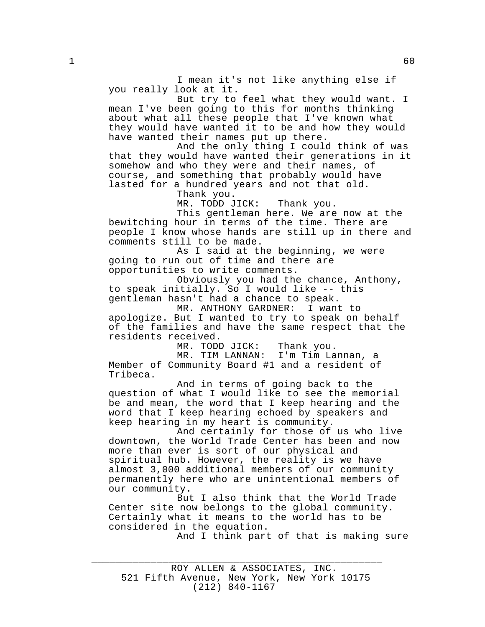I mean it's not like anything else if you really look at it.

But try to feel what they would want. I mean I've been going to this for months thinking about what all these people that I've known what they would have wanted it to be and how they would have wanted their names put up there.

And the only thing I could think of was that they would have wanted their generations in it somehow and who they were and their names, of course, and something that probably would have lasted for a hundred years and not that old.

Thank you.

MR. TODD JICK: Thank you.

This gentleman here. We are now at the bewitching hour in terms of the time. There are people I know whose hands are still up in there and comments still to be made.

As I said at the beginning, we were going to run out of time and there are opportunities to write comments.

Obviously you had the chance, Anthony, to speak initially. So I would like -- this gentleman hasn't had a chance to speak.

MR. ANTHONY GARDNER: I want to apologize. But I wanted to try to speak on behalf of the families and have the same respect that the residents received.

MR. TODD JICK: Thank you.

MR. TIM LANNAN: I'm Tim Lannan, a Member of Community Board #1 and a resident of Tribeca.

And in terms of going back to the question of what I would like to see the memorial be and mean, the word that I keep hearing and the word that I keep hearing echoed by speakers and keep hearing in my heart is community.

And certainly for those of us who live downtown, the World Trade Center has been and now more than ever is sort of our physical and spiritual hub. However, the reality is we have almost 3,000 additional members of our community permanently here who are unintentional members of our community.

But I also think that the World Trade Center site now belongs to the global community. Certainly what it means to the world has to be considered in the equation.

And I think part of that is making sure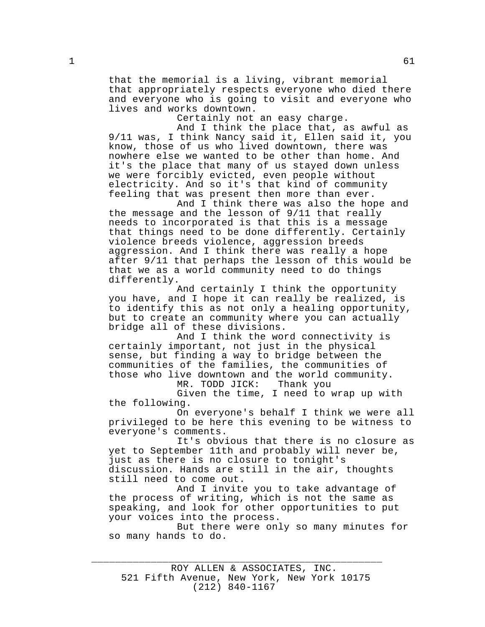that the memorial is a living, vibrant memorial that appropriately respects everyone who died there and everyone who is going to visit and everyone who lives and works downtown.

Certainly not an easy charge.

And I think the place that, as awful as 9/11 was, I think Nancy said it, Ellen said it, you know, those of us who lived downtown, there was nowhere else we wanted to be other than home. And it's the place that many of us stayed down unless we were forcibly evicted, even people without electricity. And so it's that kind of community feeling that was present then more than ever.

And I think there was also the hope and the message and the lesson of 9/11 that really needs to incorporated is that this is a message that things need to be done differently. Certainly violence breeds violence, aggression breeds aggression. And I think there was really a hope after 9/11 that perhaps the lesson of this would be that we as a world community need to do things differently.

And certainly I think the opportunity you have, and I hope it can really be realized, is to identify this as not only a healing opportunity, but to create an community where you can actually bridge all of these divisions.

And I think the word connectivity is certainly important, not just in the physical sense, but finding a way to bridge between the communities of the families, the communities of those who live downtown and the world community.

MR. TODD JICK: Thank you

Given the time, I need to wrap up with the following.

On everyone's behalf I think we were all privileged to be here this evening to be witness to everyone's comments.

It's obvious that there is no closure as yet to September 11th and probably will never be, just as there is no closure to tonight's discussion. Hands are still in the air, thoughts still need to come out.

And I invite you to take advantage of the process of writing, which is not the same as speaking, and look for other opportunities to put your voices into the process.

But there were only so many minutes for so many hands to do.